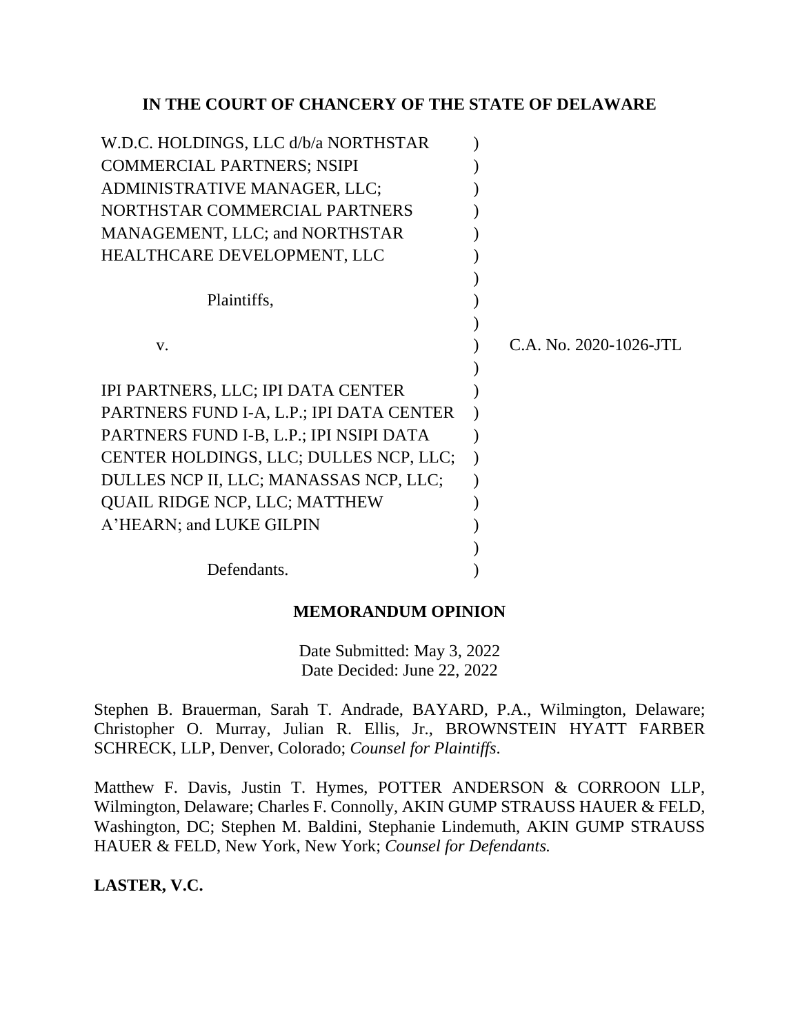# **IN THE COURT OF CHANCERY OF THE STATE OF DELAWARE**

| W.D.C. HOLDINGS, LLC d/b/a NORTHSTAR     |                        |
|------------------------------------------|------------------------|
| <b>COMMERCIAL PARTNERS; NSIPI</b>        |                        |
| ADMINISTRATIVE MANAGER, LLC;             |                        |
| NORTHSTAR COMMERCIAL PARTNERS            |                        |
| MANAGEMENT, LLC; and NORTHSTAR           |                        |
| HEALTHCARE DEVELOPMENT, LLC              |                        |
|                                          |                        |
| Plaintiffs,                              |                        |
|                                          |                        |
| V.                                       | C.A. No. 2020-1026-JTL |
|                                          |                        |
| IPI PARTNERS, LLC; IPI DATA CENTER       |                        |
| PARTNERS FUND I-A, L.P.; IPI DATA CENTER |                        |
| PARTNERS FUND I-B, L.P.; IPI NSIPI DATA  |                        |
| CENTER HOLDINGS, LLC; DULLES NCP, LLC;   |                        |
| DULLES NCP II, LLC; MANASSAS NCP, LLC;   |                        |
| <b>QUAIL RIDGE NCP, LLC; MATTHEW</b>     |                        |
| A'HEARN; and LUKE GILPIN                 |                        |
|                                          |                        |
| Defendants.                              |                        |
|                                          |                        |

# **MEMORANDUM OPINION**

Date Submitted: May 3, 2022 Date Decided: June 22, 2022

Stephen B. Brauerman, Sarah T. Andrade, BAYARD, P.A., Wilmington, Delaware; Christopher O. Murray, Julian R. Ellis, Jr., BROWNSTEIN HYATT FARBER SCHRECK, LLP, Denver, Colorado; *Counsel for Plaintiffs*.

Matthew F. Davis, Justin T. Hymes, POTTER ANDERSON & CORROON LLP, Wilmington, Delaware; Charles F. Connolly, AKIN GUMP STRAUSS HAUER & FELD, Washington, DC; Stephen M. Baldini, Stephanie Lindemuth, AKIN GUMP STRAUSS HAUER & FELD, New York, New York; *Counsel for Defendants.*

# **LASTER, V.C.**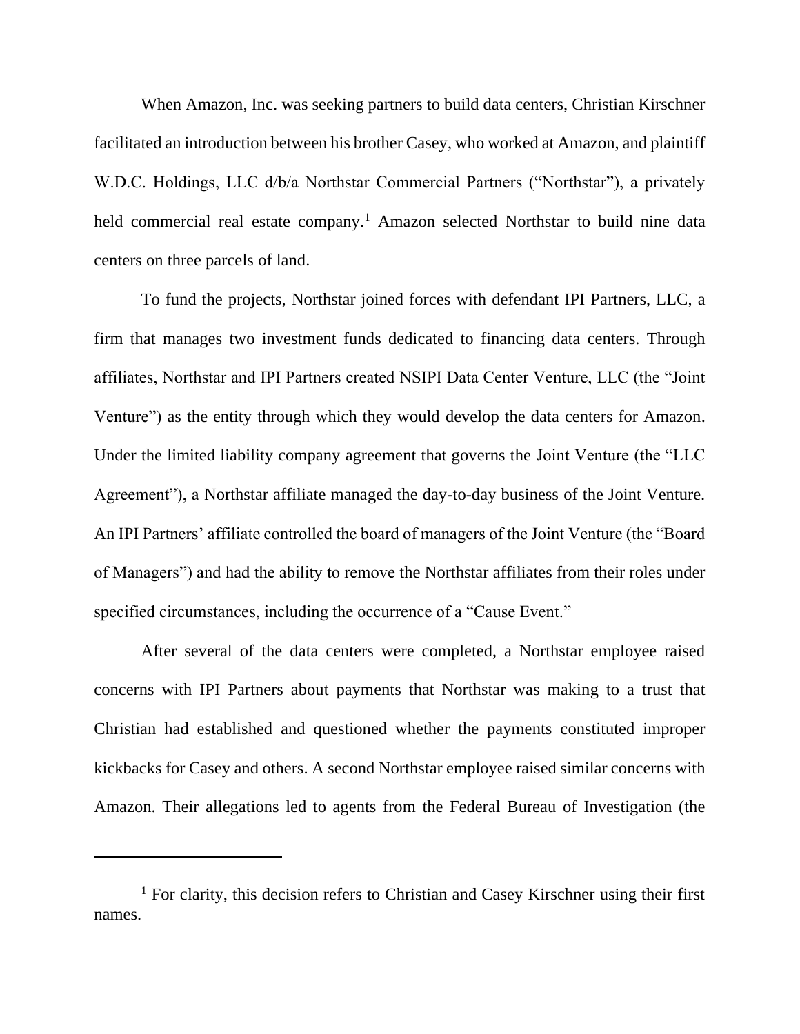When Amazon, Inc. was seeking partners to build data centers, Christian Kirschner facilitated an introduction between his brother Casey, who worked at Amazon, and plaintiff W.D.C. Holdings, LLC d/b/a Northstar Commercial Partners ("Northstar"), a privately held commercial real estate company.<sup>1</sup> Amazon selected Northstar to build nine data centers on three parcels of land.

To fund the projects, Northstar joined forces with defendant IPI Partners, LLC, a firm that manages two investment funds dedicated to financing data centers. Through affiliates, Northstar and IPI Partners created NSIPI Data Center Venture, LLC (the "Joint Venture") as the entity through which they would develop the data centers for Amazon. Under the limited liability company agreement that governs the Joint Venture (the "LLC Agreement"), a Northstar affiliate managed the day-to-day business of the Joint Venture. An IPI Partners' affiliate controlled the board of managers of the Joint Venture (the "Board of Managers") and had the ability to remove the Northstar affiliates from their roles under specified circumstances, including the occurrence of a "Cause Event."

After several of the data centers were completed, a Northstar employee raised concerns with IPI Partners about payments that Northstar was making to a trust that Christian had established and questioned whether the payments constituted improper kickbacks for Casey and others. A second Northstar employee raised similar concerns with Amazon. Their allegations led to agents from the Federal Bureau of Investigation (the

<sup>&</sup>lt;sup>1</sup> For clarity, this decision refers to Christian and Casey Kirschner using their first names.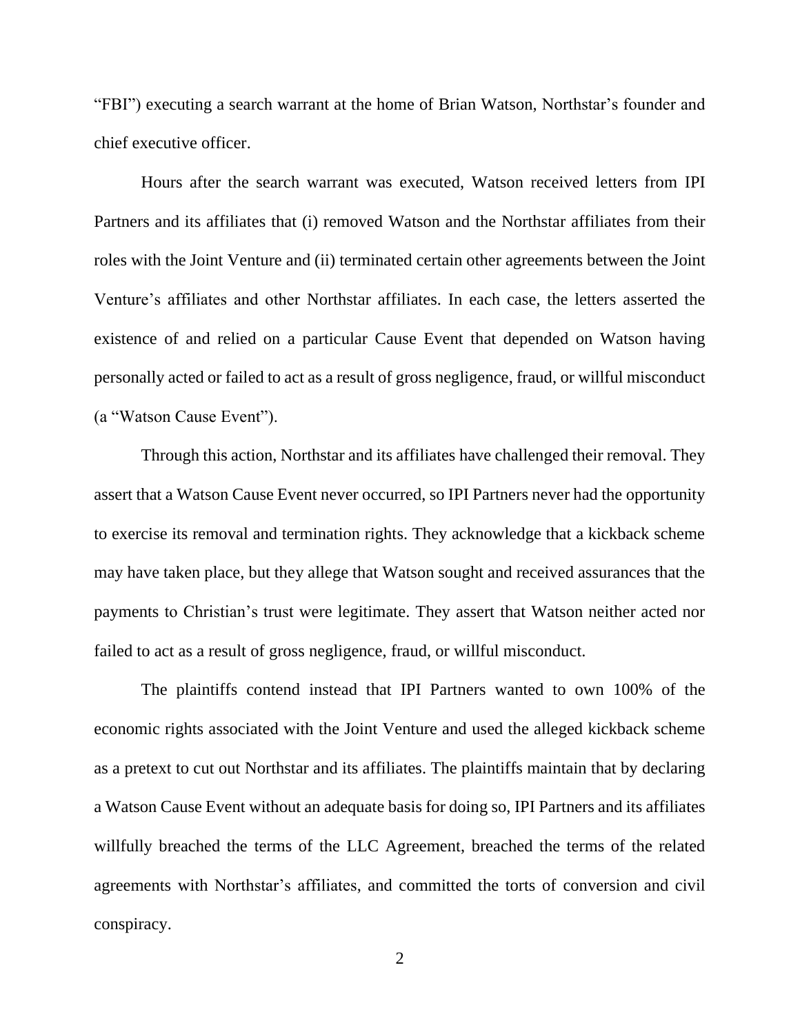"FBI") executing a search warrant at the home of Brian Watson, Northstar's founder and chief executive officer.

Hours after the search warrant was executed, Watson received letters from IPI Partners and its affiliates that (i) removed Watson and the Northstar affiliates from their roles with the Joint Venture and (ii) terminated certain other agreements between the Joint Venture's affiliates and other Northstar affiliates. In each case, the letters asserted the existence of and relied on a particular Cause Event that depended on Watson having personally acted or failed to act as a result of gross negligence, fraud, or willful misconduct (a "Watson Cause Event").

Through this action, Northstar and its affiliates have challenged their removal. They assert that a Watson Cause Event never occurred, so IPI Partners never had the opportunity to exercise its removal and termination rights. They acknowledge that a kickback scheme may have taken place, but they allege that Watson sought and received assurances that the payments to Christian's trust were legitimate. They assert that Watson neither acted nor failed to act as a result of gross negligence, fraud, or willful misconduct.

The plaintiffs contend instead that IPI Partners wanted to own 100% of the economic rights associated with the Joint Venture and used the alleged kickback scheme as a pretext to cut out Northstar and its affiliates. The plaintiffs maintain that by declaring a Watson Cause Event without an adequate basis for doing so, IPI Partners and its affiliates willfully breached the terms of the LLC Agreement, breached the terms of the related agreements with Northstar's affiliates, and committed the torts of conversion and civil conspiracy.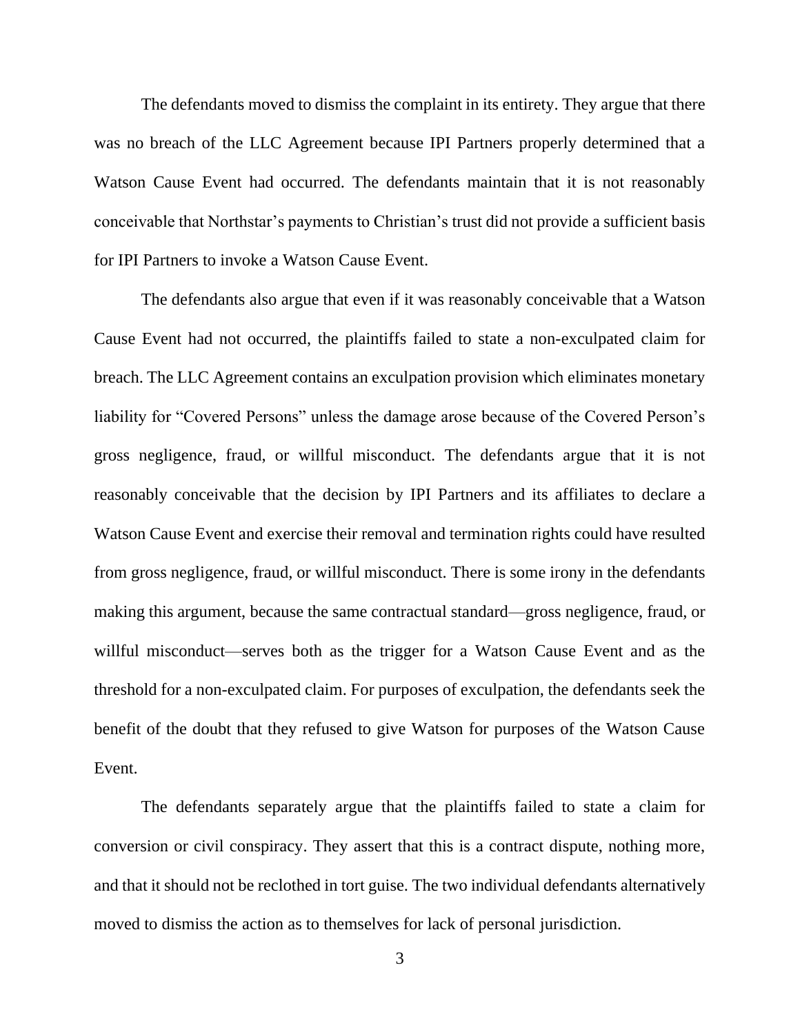The defendants moved to dismiss the complaint in its entirety. They argue that there was no breach of the LLC Agreement because IPI Partners properly determined that a Watson Cause Event had occurred. The defendants maintain that it is not reasonably conceivable that Northstar's payments to Christian's trust did not provide a sufficient basis for IPI Partners to invoke a Watson Cause Event.

The defendants also argue that even if it was reasonably conceivable that a Watson Cause Event had not occurred, the plaintiffs failed to state a non-exculpated claim for breach. The LLC Agreement contains an exculpation provision which eliminates monetary liability for "Covered Persons" unless the damage arose because of the Covered Person's gross negligence, fraud, or willful misconduct. The defendants argue that it is not reasonably conceivable that the decision by IPI Partners and its affiliates to declare a Watson Cause Event and exercise their removal and termination rights could have resulted from gross negligence, fraud, or willful misconduct. There is some irony in the defendants making this argument, because the same contractual standard—gross negligence, fraud, or willful misconduct—serves both as the trigger for a Watson Cause Event and as the threshold for a non-exculpated claim. For purposes of exculpation, the defendants seek the benefit of the doubt that they refused to give Watson for purposes of the Watson Cause Event.

The defendants separately argue that the plaintiffs failed to state a claim for conversion or civil conspiracy. They assert that this is a contract dispute, nothing more, and that it should not be reclothed in tort guise. The two individual defendants alternatively moved to dismiss the action as to themselves for lack of personal jurisdiction.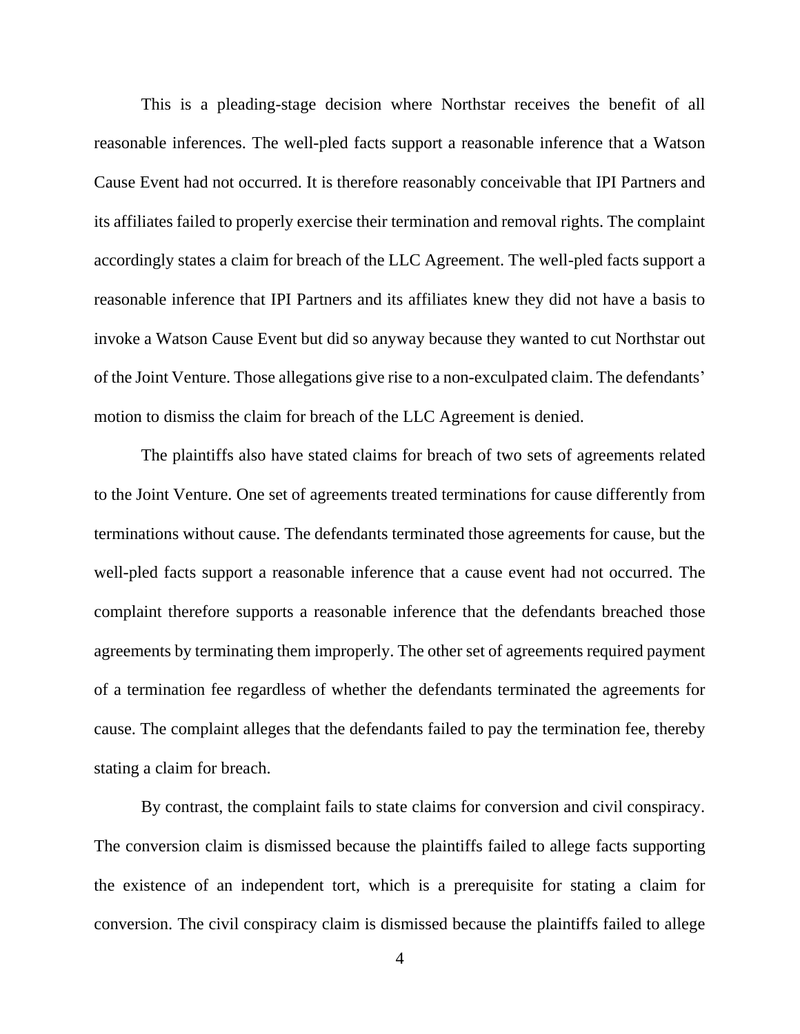This is a pleading-stage decision where Northstar receives the benefit of all reasonable inferences. The well-pled facts support a reasonable inference that a Watson Cause Event had not occurred. It is therefore reasonably conceivable that IPI Partners and its affiliates failed to properly exercise their termination and removal rights. The complaint accordingly states a claim for breach of the LLC Agreement. The well-pled facts support a reasonable inference that IPI Partners and its affiliates knew they did not have a basis to invoke a Watson Cause Event but did so anyway because they wanted to cut Northstar out of the Joint Venture. Those allegations give rise to a non-exculpated claim. The defendants' motion to dismiss the claim for breach of the LLC Agreement is denied.

The plaintiffs also have stated claims for breach of two sets of agreements related to the Joint Venture. One set of agreements treated terminations for cause differently from terminations without cause. The defendants terminated those agreements for cause, but the well-pled facts support a reasonable inference that a cause event had not occurred. The complaint therefore supports a reasonable inference that the defendants breached those agreements by terminating them improperly. The other set of agreements required payment of a termination fee regardless of whether the defendants terminated the agreements for cause. The complaint alleges that the defendants failed to pay the termination fee, thereby stating a claim for breach.

By contrast, the complaint fails to state claims for conversion and civil conspiracy. The conversion claim is dismissed because the plaintiffs failed to allege facts supporting the existence of an independent tort, which is a prerequisite for stating a claim for conversion. The civil conspiracy claim is dismissed because the plaintiffs failed to allege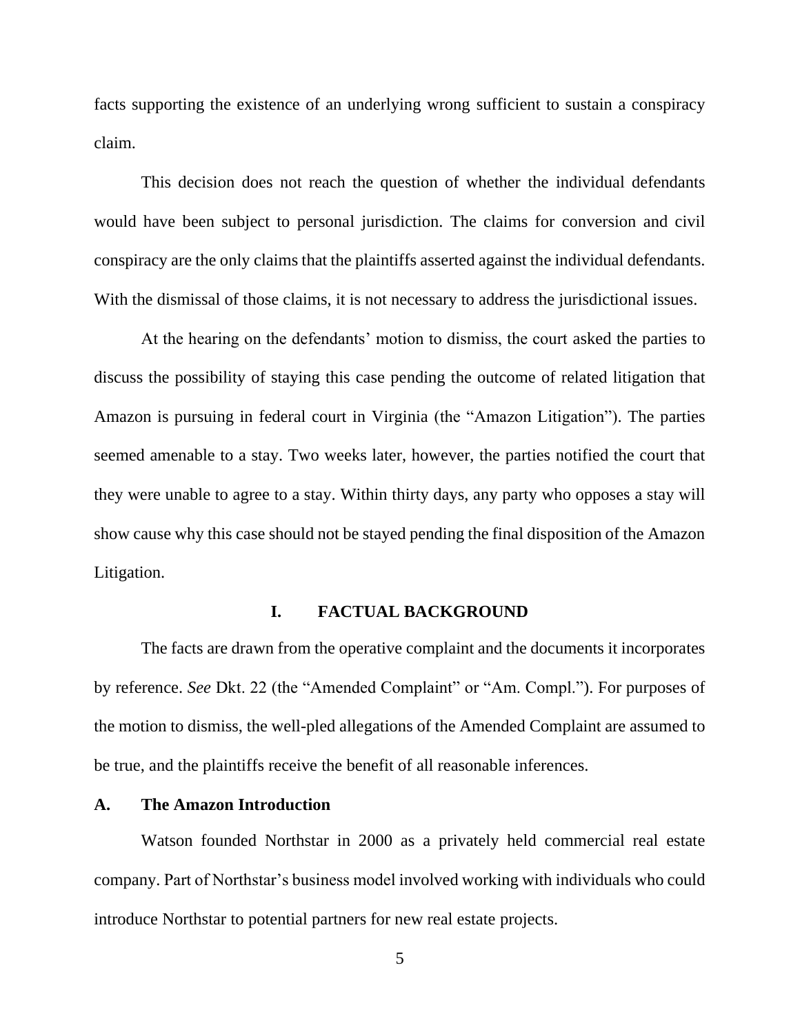facts supporting the existence of an underlying wrong sufficient to sustain a conspiracy claim.

This decision does not reach the question of whether the individual defendants would have been subject to personal jurisdiction. The claims for conversion and civil conspiracy are the only claims that the plaintiffs asserted against the individual defendants. With the dismissal of those claims, it is not necessary to address the jurisdictional issues.

At the hearing on the defendants' motion to dismiss, the court asked the parties to discuss the possibility of staying this case pending the outcome of related litigation that Amazon is pursuing in federal court in Virginia (the "Amazon Litigation"). The parties seemed amenable to a stay. Two weeks later, however, the parties notified the court that they were unable to agree to a stay. Within thirty days, any party who opposes a stay will show cause why this case should not be stayed pending the final disposition of the Amazon Litigation.

### **I. FACTUAL BACKGROUND**

The facts are drawn from the operative complaint and the documents it incorporates by reference. *See* Dkt. 22 (the "Amended Complaint" or "Am. Compl."). For purposes of the motion to dismiss, the well-pled allegations of the Amended Complaint are assumed to be true, and the plaintiffs receive the benefit of all reasonable inferences.

#### **A. The Amazon Introduction**

Watson founded Northstar in 2000 as a privately held commercial real estate company. Part of Northstar's business model involved working with individuals who could introduce Northstar to potential partners for new real estate projects.

5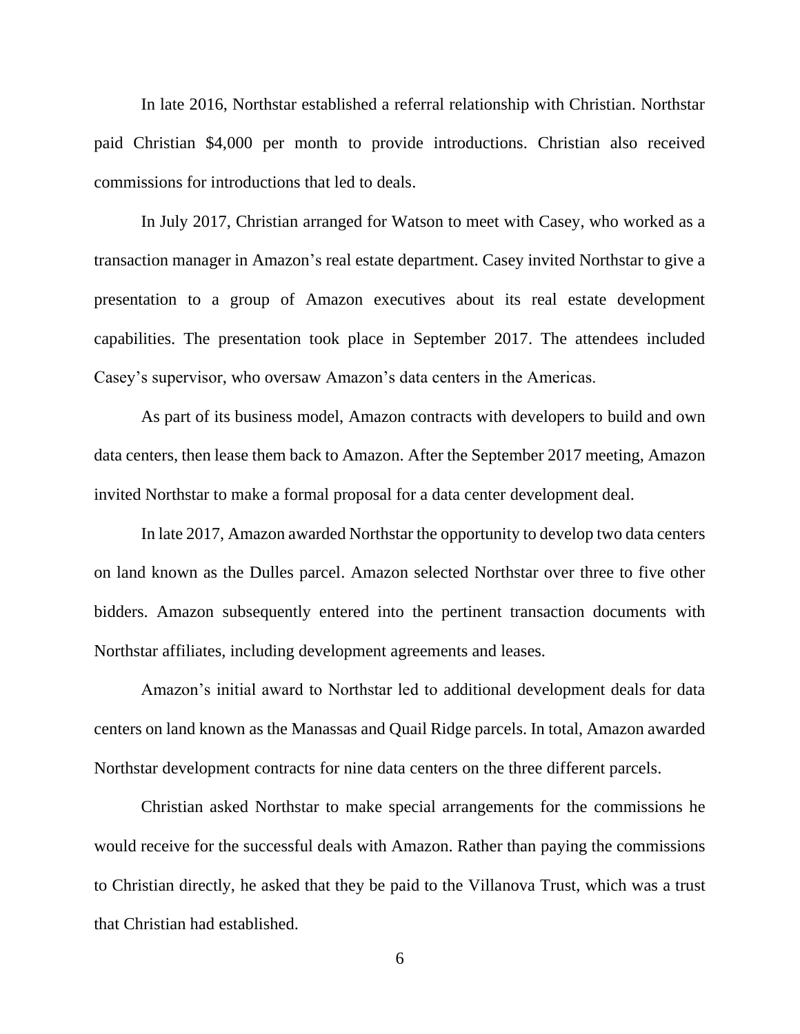In late 2016, Northstar established a referral relationship with Christian. Northstar paid Christian \$4,000 per month to provide introductions. Christian also received commissions for introductions that led to deals.

In July 2017, Christian arranged for Watson to meet with Casey, who worked as a transaction manager in Amazon's real estate department. Casey invited Northstar to give a presentation to a group of Amazon executives about its real estate development capabilities. The presentation took place in September 2017. The attendees included Casey's supervisor, who oversaw Amazon's data centers in the Americas.

As part of its business model, Amazon contracts with developers to build and own data centers, then lease them back to Amazon. After the September 2017 meeting, Amazon invited Northstar to make a formal proposal for a data center development deal.

In late 2017, Amazon awarded Northstar the opportunity to develop two data centers on land known as the Dulles parcel. Amazon selected Northstar over three to five other bidders. Amazon subsequently entered into the pertinent transaction documents with Northstar affiliates, including development agreements and leases.

Amazon's initial award to Northstar led to additional development deals for data centers on land known as the Manassas and Quail Ridge parcels. In total, Amazon awarded Northstar development contracts for nine data centers on the three different parcels.

Christian asked Northstar to make special arrangements for the commissions he would receive for the successful deals with Amazon. Rather than paying the commissions to Christian directly, he asked that they be paid to the Villanova Trust, which was a trust that Christian had established.

6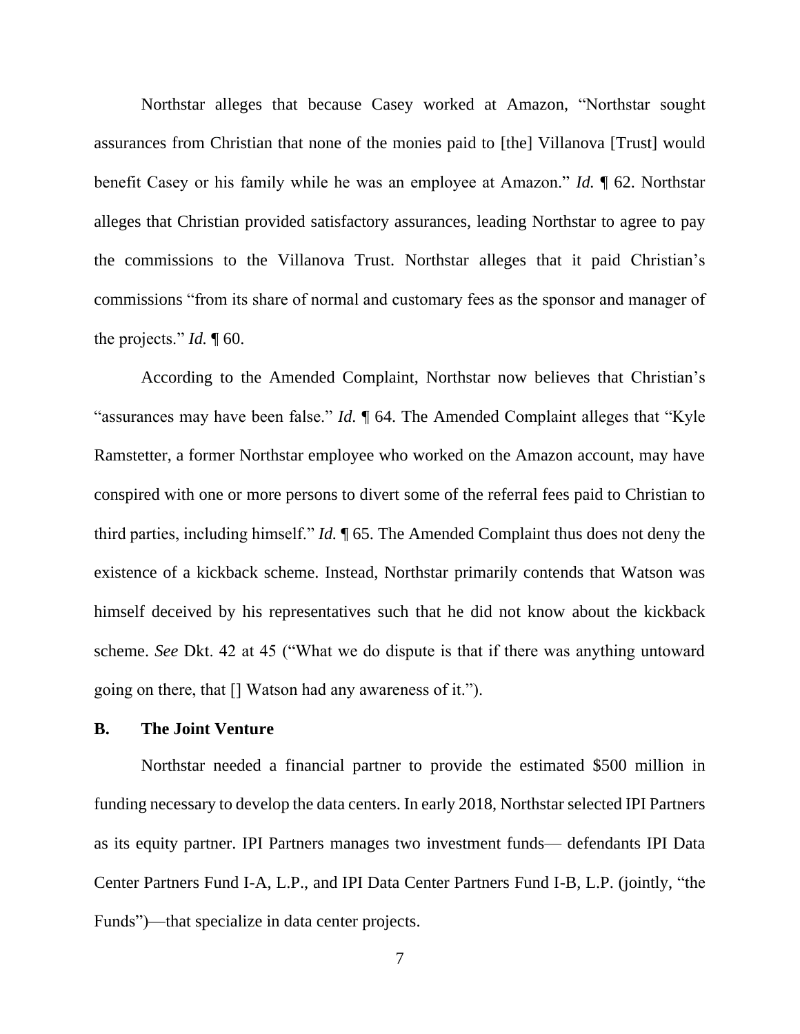Northstar alleges that because Casey worked at Amazon, "Northstar sought assurances from Christian that none of the monies paid to [the] Villanova [Trust] would benefit Casey or his family while he was an employee at Amazon." *Id.* ¶ 62. Northstar alleges that Christian provided satisfactory assurances, leading Northstar to agree to pay the commissions to the Villanova Trust. Northstar alleges that it paid Christian's commissions "from its share of normal and customary fees as the sponsor and manager of the projects." *Id.* 160.

According to the Amended Complaint, Northstar now believes that Christian's "assurances may have been false." *Id.* ¶ 64. The Amended Complaint alleges that "Kyle Ramstetter, a former Northstar employee who worked on the Amazon account, may have conspired with one or more persons to divert some of the referral fees paid to Christian to third parties, including himself." *Id.* ¶ 65. The Amended Complaint thus does not deny the existence of a kickback scheme. Instead, Northstar primarily contends that Watson was himself deceived by his representatives such that he did not know about the kickback scheme. *See* Dkt. 42 at 45 ("What we do dispute is that if there was anything untoward going on there, that [] Watson had any awareness of it.").

#### **B. The Joint Venture**

Northstar needed a financial partner to provide the estimated \$500 million in funding necessary to develop the data centers. In early 2018, Northstar selected IPI Partners as its equity partner. IPI Partners manages two investment funds— defendants IPI Data Center Partners Fund I-A, L.P., and IPI Data Center Partners Fund I-B, L.P. (jointly, "the Funds")—that specialize in data center projects.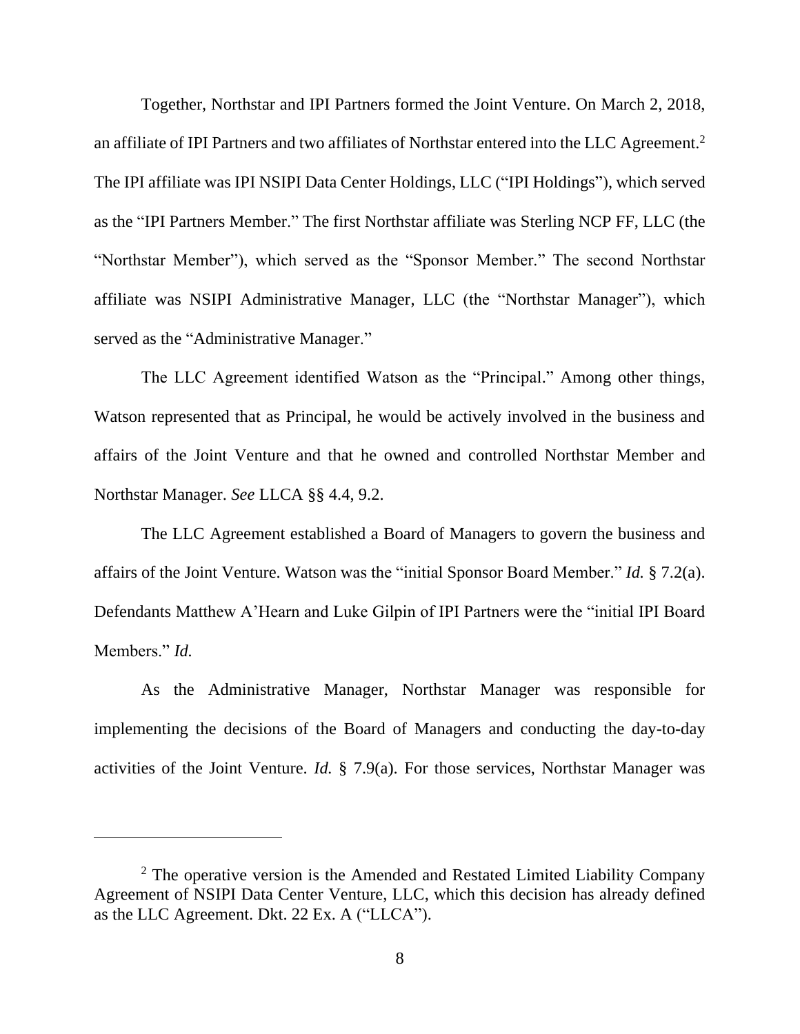Together, Northstar and IPI Partners formed the Joint Venture. On March 2, 2018, an affiliate of IPI Partners and two affiliates of Northstar entered into the LLC Agreement.<sup>2</sup> The IPI affiliate was IPI NSIPI Data Center Holdings, LLC ("IPI Holdings"), which served as the "IPI Partners Member." The first Northstar affiliate was Sterling NCP FF, LLC (the "Northstar Member"), which served as the "Sponsor Member." The second Northstar affiliate was NSIPI Administrative Manager, LLC (the "Northstar Manager"), which served as the "Administrative Manager."

The LLC Agreement identified Watson as the "Principal." Among other things, Watson represented that as Principal, he would be actively involved in the business and affairs of the Joint Venture and that he owned and controlled Northstar Member and Northstar Manager. *See* LLCA §§ 4.4, 9.2.

The LLC Agreement established a Board of Managers to govern the business and affairs of the Joint Venture. Watson was the "initial Sponsor Board Member." *Id.* § 7.2(a). Defendants Matthew A'Hearn and Luke Gilpin of IPI Partners were the "initial IPI Board Members." *Id.*

As the Administrative Manager, Northstar Manager was responsible for implementing the decisions of the Board of Managers and conducting the day-to-day activities of the Joint Venture. *Id.* § 7.9(a). For those services, Northstar Manager was

<sup>2</sup> The operative version is the Amended and Restated Limited Liability Company Agreement of NSIPI Data Center Venture, LLC, which this decision has already defined as the LLC Agreement. Dkt. 22 Ex. A ("LLCA").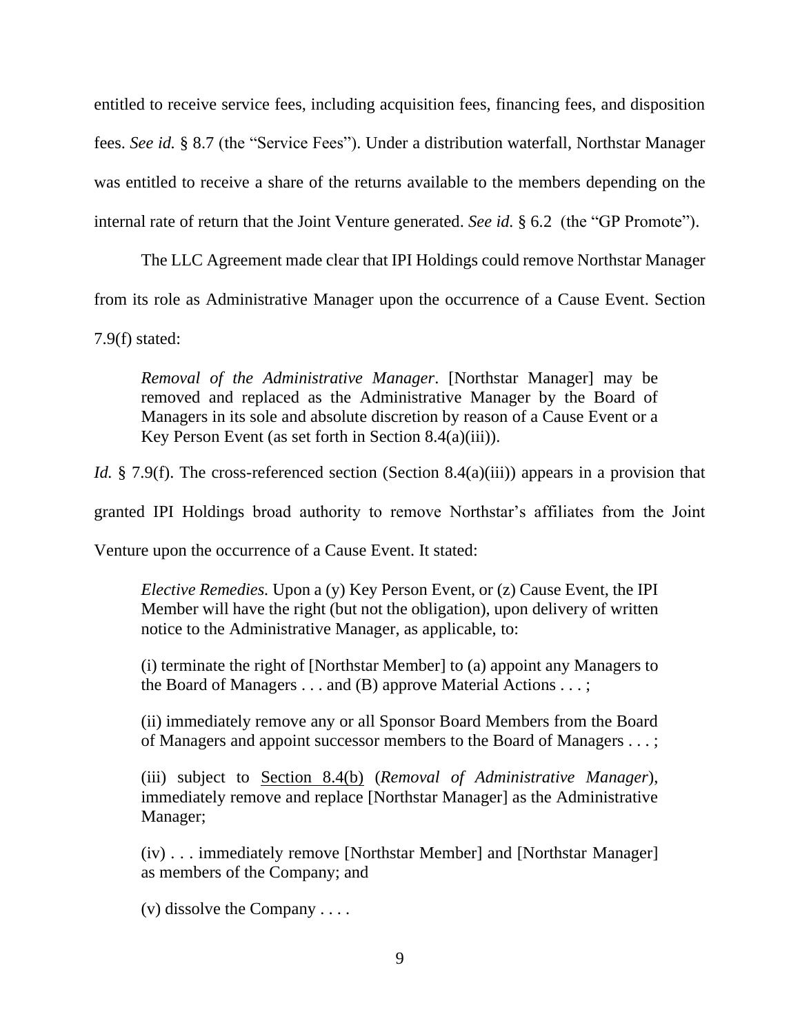entitled to receive service fees, including acquisition fees, financing fees, and disposition fees. *See id.* § 8.7 (the "Service Fees"). Under a distribution waterfall, Northstar Manager was entitled to receive a share of the returns available to the members depending on the internal rate of return that the Joint Venture generated. *See id.* § 6.2 (the "GP Promote").

The LLC Agreement made clear that IPI Holdings could remove Northstar Manager from its role as Administrative Manager upon the occurrence of a Cause Event. Section 7.9(f) stated:

*Removal of the Administrative Manager*. [Northstar Manager] may be removed and replaced as the Administrative Manager by the Board of Managers in its sole and absolute discretion by reason of a Cause Event or a Key Person Event (as set forth in Section 8.4(a)(iii)).

*Id.* § 7.9(f). The cross-referenced section (Section 8.4(a)(iii)) appears in a provision that

granted IPI Holdings broad authority to remove Northstar's affiliates from the Joint

Venture upon the occurrence of a Cause Event. It stated:

*Elective Remedies.* Upon a (y) Key Person Event, or (z) Cause Event, the IPI Member will have the right (but not the obligation), upon delivery of written notice to the Administrative Manager, as applicable, to:

(i) terminate the right of [Northstar Member] to (a) appoint any Managers to the Board of Managers . . . and (B) approve Material Actions . . . ;

(ii) immediately remove any or all Sponsor Board Members from the Board of Managers and appoint successor members to the Board of Managers . . . ;

(iii) subject to Section 8.4(b) (*Removal of Administrative Manager*), immediately remove and replace [Northstar Manager] as the Administrative Manager;

(iv) . . . immediately remove [Northstar Member] and [Northstar Manager] as members of the Company; and

(v) dissolve the Company . . . .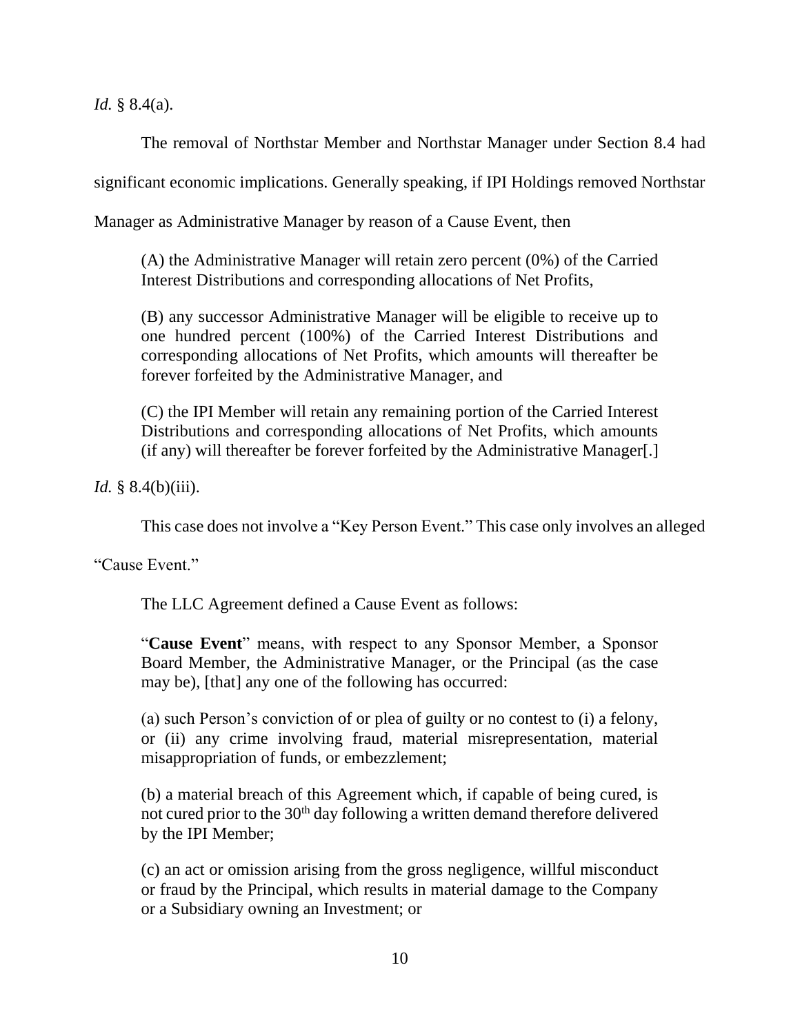*Id.* § 8.4(a).

The removal of Northstar Member and Northstar Manager under Section 8.4 had

significant economic implications. Generally speaking, if IPI Holdings removed Northstar

Manager as Administrative Manager by reason of a Cause Event, then

(A) the Administrative Manager will retain zero percent (0%) of the Carried Interest Distributions and corresponding allocations of Net Profits,

(B) any successor Administrative Manager will be eligible to receive up to one hundred percent (100%) of the Carried Interest Distributions and corresponding allocations of Net Profits, which amounts will thereafter be forever forfeited by the Administrative Manager, and

(C) the IPI Member will retain any remaining portion of the Carried Interest Distributions and corresponding allocations of Net Profits, which amounts (if any) will thereafter be forever forfeited by the Administrative Manager[.]

*Id.* § 8.4(b)(iii).

This case does not involve a "Key Person Event." This case only involves an alleged

"Cause Event."

The LLC Agreement defined a Cause Event as follows:

"**Cause Event**" means, with respect to any Sponsor Member, a Sponsor Board Member, the Administrative Manager, or the Principal (as the case may be), [that] any one of the following has occurred:

(a) such Person's conviction of or plea of guilty or no contest to (i) a felony, or (ii) any crime involving fraud, material misrepresentation, material misappropriation of funds, or embezzlement;

(b) a material breach of this Agreement which, if capable of being cured, is not cured prior to the 30<sup>th</sup> day following a written demand therefore delivered by the IPI Member;

(c) an act or omission arising from the gross negligence, willful misconduct or fraud by the Principal, which results in material damage to the Company or a Subsidiary owning an Investment; or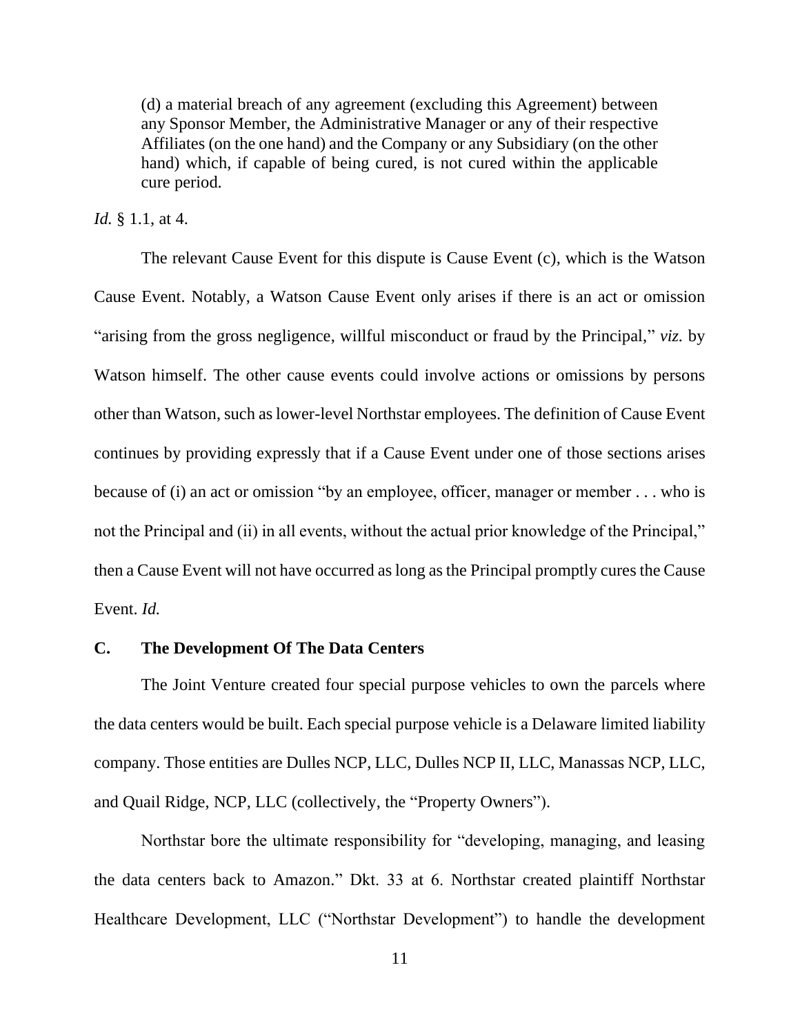(d) a material breach of any agreement (excluding this Agreement) between any Sponsor Member, the Administrative Manager or any of their respective Affiliates (on the one hand) and the Company or any Subsidiary (on the other hand) which, if capable of being cured, is not cured within the applicable cure period.

#### *Id.* § 1.1, at 4.

The relevant Cause Event for this dispute is Cause Event (c), which is the Watson Cause Event. Notably, a Watson Cause Event only arises if there is an act or omission "arising from the gross negligence, willful misconduct or fraud by the Principal," *viz.* by Watson himself. The other cause events could involve actions or omissions by persons other than Watson, such as lower-level Northstar employees. The definition of Cause Event continues by providing expressly that if a Cause Event under one of those sections arises because of (i) an act or omission "by an employee, officer, manager or member . . . who is not the Principal and (ii) in all events, without the actual prior knowledge of the Principal," then a Cause Event will not have occurred as long as the Principal promptly cures the Cause Event. *Id.*

### **C. The Development Of The Data Centers**

The Joint Venture created four special purpose vehicles to own the parcels where the data centers would be built. Each special purpose vehicle is a Delaware limited liability company. Those entities are Dulles NCP, LLC, Dulles NCP II, LLC, Manassas NCP, LLC, and Quail Ridge, NCP, LLC (collectively, the "Property Owners").

Northstar bore the ultimate responsibility for "developing, managing, and leasing the data centers back to Amazon." Dkt. 33 at 6. Northstar created plaintiff Northstar Healthcare Development, LLC ("Northstar Development") to handle the development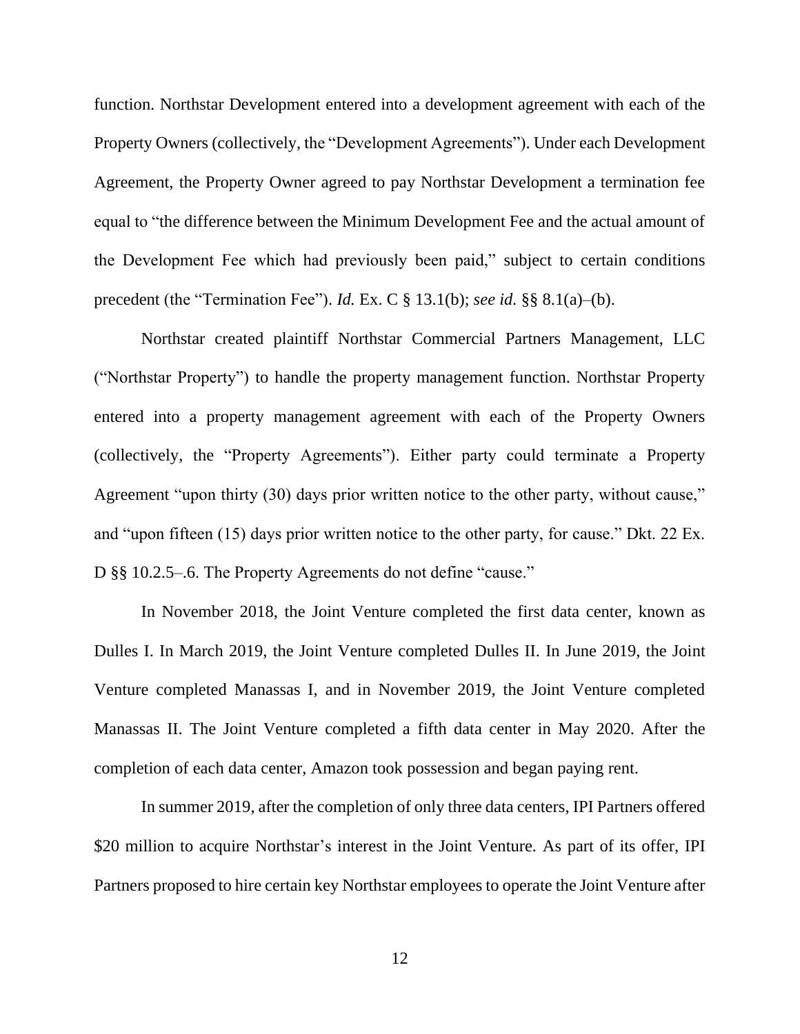function. Northstar Development entered into a development agreement with each of the Property Owners (collectively, the "Development Agreements"). Under each Development Agreement, the Property Owner agreed to pay Northstar Development a termination fee equal to "the difference between the Minimum Development Fee and the actual amount of the Development Fee which had previously been paid," subject to certain conditions precedent (the "Termination Fee"). *Id.* Ex. C § 13.1(b); *see id.* §§ 8.1(a)–(b).

Northstar created plaintiff Northstar Commercial Partners Management, LLC ("Northstar Property") to handle the property management function. Northstar Property entered into a property management agreement with each of the Property Owners (collectively, the "Property Agreements"). Either party could terminate a Property Agreement "upon thirty (30) days prior written notice to the other party, without cause," and "upon fifteen (15) days prior written notice to the other party, for cause." Dkt. 22 Ex. D §§ 10.2.5–.6. The Property Agreements do not define "cause."

In November 2018, the Joint Venture completed the first data center, known as Dulles I. In March 2019, the Joint Venture completed Dulles II. In June 2019, the Joint Venture completed Manassas I, and in November 2019, the Joint Venture completed Manassas II. The Joint Venture completed a fifth data center in May 2020. After the completion of each data center, Amazon took possession and began paying rent.

In summer 2019, after the completion of only three data centers, IPI Partners offered \$20 million to acquire Northstar's interest in the Joint Venture. As part of its offer, IPI Partners proposed to hire certain key Northstar employees to operate the Joint Venture after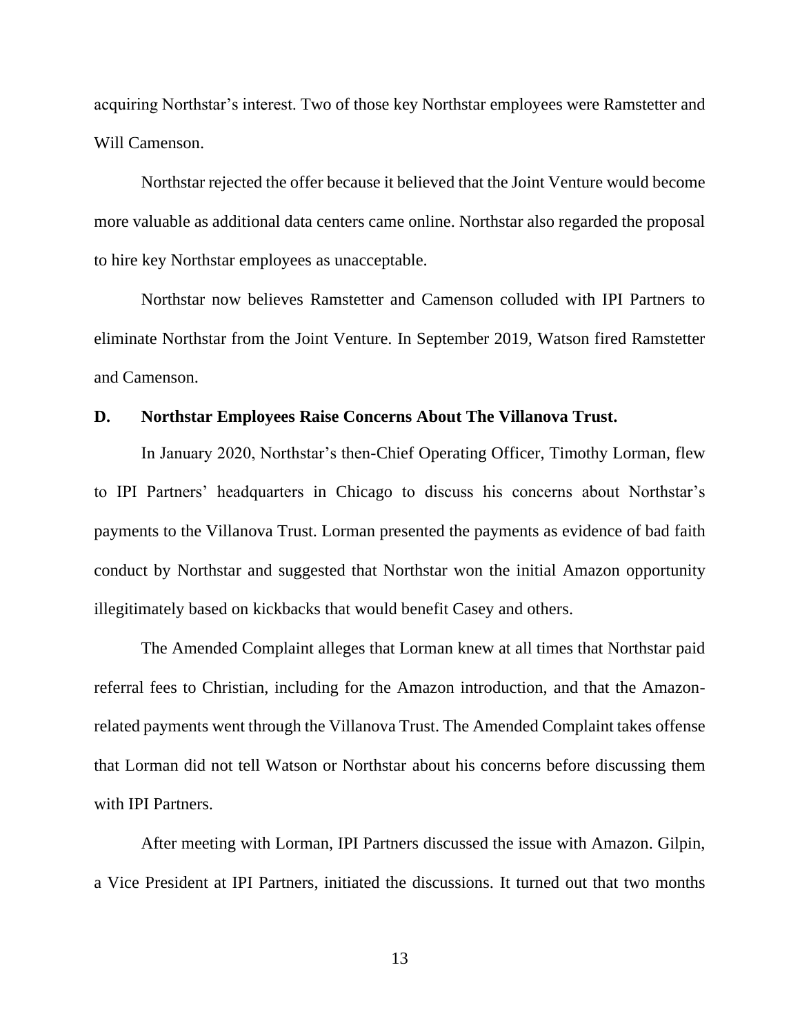acquiring Northstar's interest. Two of those key Northstar employees were Ramstetter and Will Camenson.

Northstar rejected the offer because it believed that the Joint Venture would become more valuable as additional data centers came online. Northstar also regarded the proposal to hire key Northstar employees as unacceptable.

Northstar now believes Ramstetter and Camenson colluded with IPI Partners to eliminate Northstar from the Joint Venture. In September 2019, Watson fired Ramstetter and Camenson.

### **D. Northstar Employees Raise Concerns About The Villanova Trust.**

In January 2020, Northstar's then-Chief Operating Officer, Timothy Lorman, flew to IPI Partners' headquarters in Chicago to discuss his concerns about Northstar's payments to the Villanova Trust. Lorman presented the payments as evidence of bad faith conduct by Northstar and suggested that Northstar won the initial Amazon opportunity illegitimately based on kickbacks that would benefit Casey and others.

The Amended Complaint alleges that Lorman knew at all times that Northstar paid referral fees to Christian, including for the Amazon introduction, and that the Amazonrelated payments went through the Villanova Trust. The Amended Complaint takes offense that Lorman did not tell Watson or Northstar about his concerns before discussing them with IPI Partners.

After meeting with Lorman, IPI Partners discussed the issue with Amazon. Gilpin, a Vice President at IPI Partners, initiated the discussions. It turned out that two months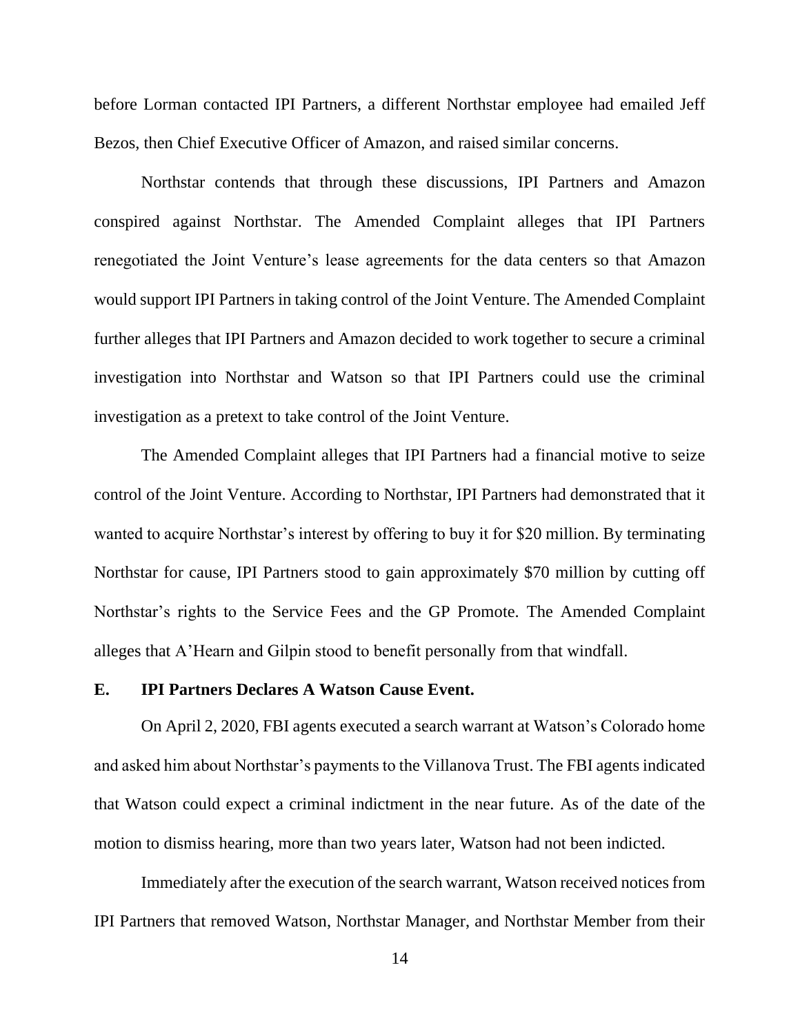before Lorman contacted IPI Partners, a different Northstar employee had emailed Jeff Bezos, then Chief Executive Officer of Amazon, and raised similar concerns.

Northstar contends that through these discussions, IPI Partners and Amazon conspired against Northstar. The Amended Complaint alleges that IPI Partners renegotiated the Joint Venture's lease agreements for the data centers so that Amazon would support IPI Partners in taking control of the Joint Venture. The Amended Complaint further alleges that IPI Partners and Amazon decided to work together to secure a criminal investigation into Northstar and Watson so that IPI Partners could use the criminal investigation as a pretext to take control of the Joint Venture.

The Amended Complaint alleges that IPI Partners had a financial motive to seize control of the Joint Venture. According to Northstar, IPI Partners had demonstrated that it wanted to acquire Northstar's interest by offering to buy it for \$20 million. By terminating Northstar for cause, IPI Partners stood to gain approximately \$70 million by cutting off Northstar's rights to the Service Fees and the GP Promote. The Amended Complaint alleges that A'Hearn and Gilpin stood to benefit personally from that windfall.

### **E. IPI Partners Declares A Watson Cause Event.**

On April 2, 2020, FBI agents executed a search warrant at Watson's Colorado home and asked him about Northstar's payments to the Villanova Trust. The FBI agents indicated that Watson could expect a criminal indictment in the near future. As of the date of the motion to dismiss hearing, more than two years later, Watson had not been indicted.

Immediately after the execution of the search warrant, Watson received notices from IPI Partners that removed Watson, Northstar Manager, and Northstar Member from their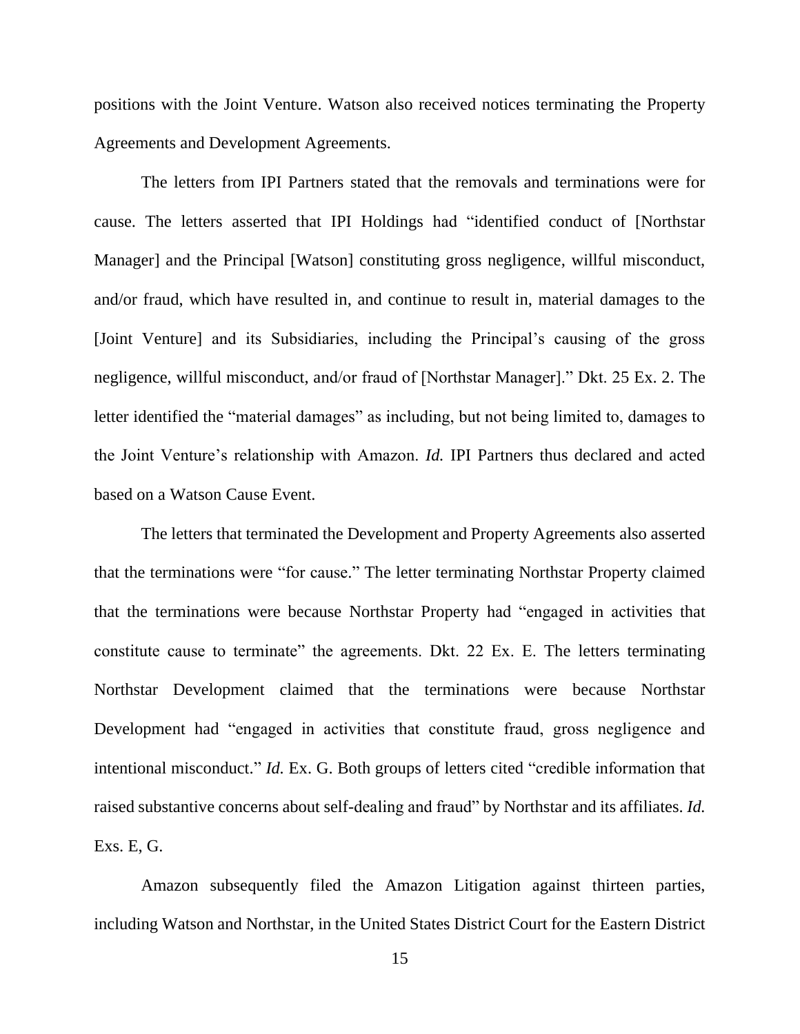positions with the Joint Venture. Watson also received notices terminating the Property Agreements and Development Agreements.

The letters from IPI Partners stated that the removals and terminations were for cause. The letters asserted that IPI Holdings had "identified conduct of [Northstar Manager] and the Principal [Watson] constituting gross negligence, willful misconduct, and/or fraud, which have resulted in, and continue to result in, material damages to the [Joint Venture] and its Subsidiaries, including the Principal's causing of the gross negligence, willful misconduct, and/or fraud of [Northstar Manager]." Dkt. 25 Ex. 2. The letter identified the "material damages" as including, but not being limited to, damages to the Joint Venture's relationship with Amazon. *Id.* IPI Partners thus declared and acted based on a Watson Cause Event.

The letters that terminated the Development and Property Agreements also asserted that the terminations were "for cause." The letter terminating Northstar Property claimed that the terminations were because Northstar Property had "engaged in activities that constitute cause to terminate" the agreements. Dkt. 22 Ex. E. The letters terminating Northstar Development claimed that the terminations were because Northstar Development had "engaged in activities that constitute fraud, gross negligence and intentional misconduct." *Id.* Ex. G. Both groups of letters cited "credible information that raised substantive concerns about self-dealing and fraud" by Northstar and its affiliates. *Id.* Exs. E, G.

Amazon subsequently filed the Amazon Litigation against thirteen parties, including Watson and Northstar, in the United States District Court for the Eastern District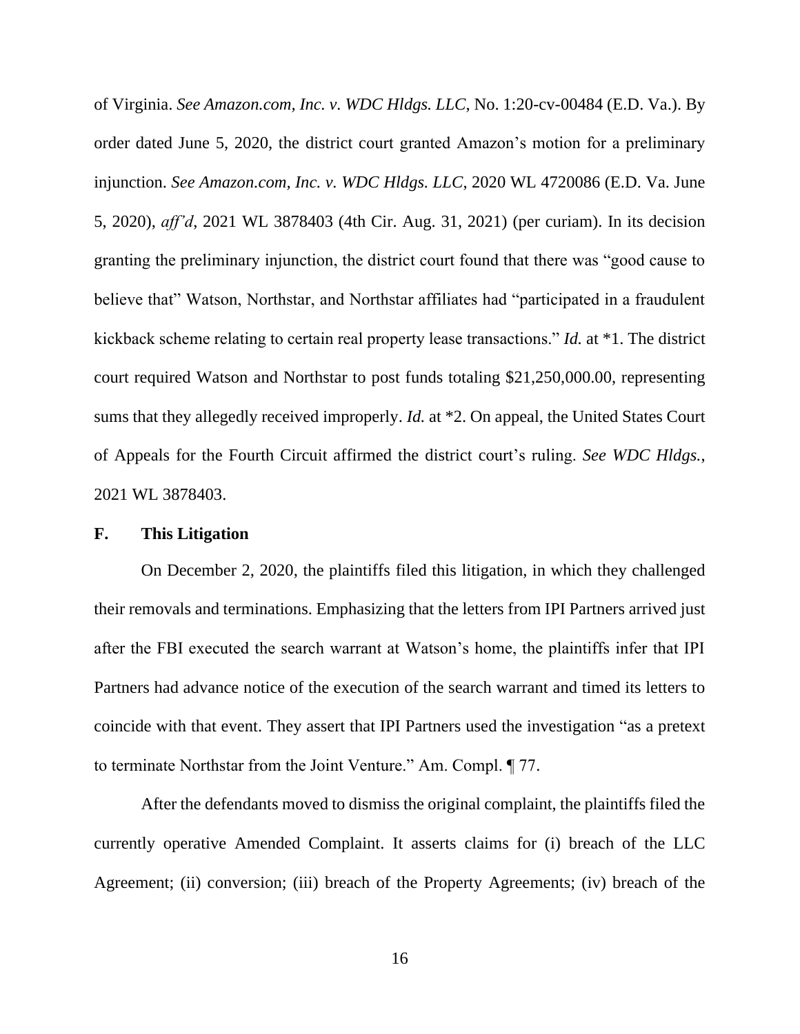of Virginia. *See Amazon.com, Inc. v. WDC Hldgs. LLC*, No. 1:20-cv-00484 (E.D. Va.). By order dated June 5, 2020, the district court granted Amazon's motion for a preliminary injunction. *See Amazon.com, Inc. v. WDC Hldgs. LLC*, 2020 WL 4720086 (E.D. Va. June 5, 2020), *aff'd*, 2021 WL 3878403 (4th Cir. Aug. 31, 2021) (per curiam). In its decision granting the preliminary injunction, the district court found that there was "good cause to believe that" Watson, Northstar, and Northstar affiliates had "participated in a fraudulent kickback scheme relating to certain real property lease transactions." *Id.* at \*1. The district court required Watson and Northstar to post funds totaling \$21,250,000.00, representing sums that they allegedly received improperly. *Id.* at \*2. On appeal, the United States Court of Appeals for the Fourth Circuit affirmed the district court's ruling. *See WDC Hldgs.*, 2021 WL 3878403.

#### **F. This Litigation**

On December 2, 2020, the plaintiffs filed this litigation, in which they challenged their removals and terminations. Emphasizing that the letters from IPI Partners arrived just after the FBI executed the search warrant at Watson's home, the plaintiffs infer that IPI Partners had advance notice of the execution of the search warrant and timed its letters to coincide with that event. They assert that IPI Partners used the investigation "as a pretext to terminate Northstar from the Joint Venture." Am. Compl. ¶ 77.

After the defendants moved to dismiss the original complaint, the plaintiffs filed the currently operative Amended Complaint. It asserts claims for (i) breach of the LLC Agreement; (ii) conversion; (iii) breach of the Property Agreements; (iv) breach of the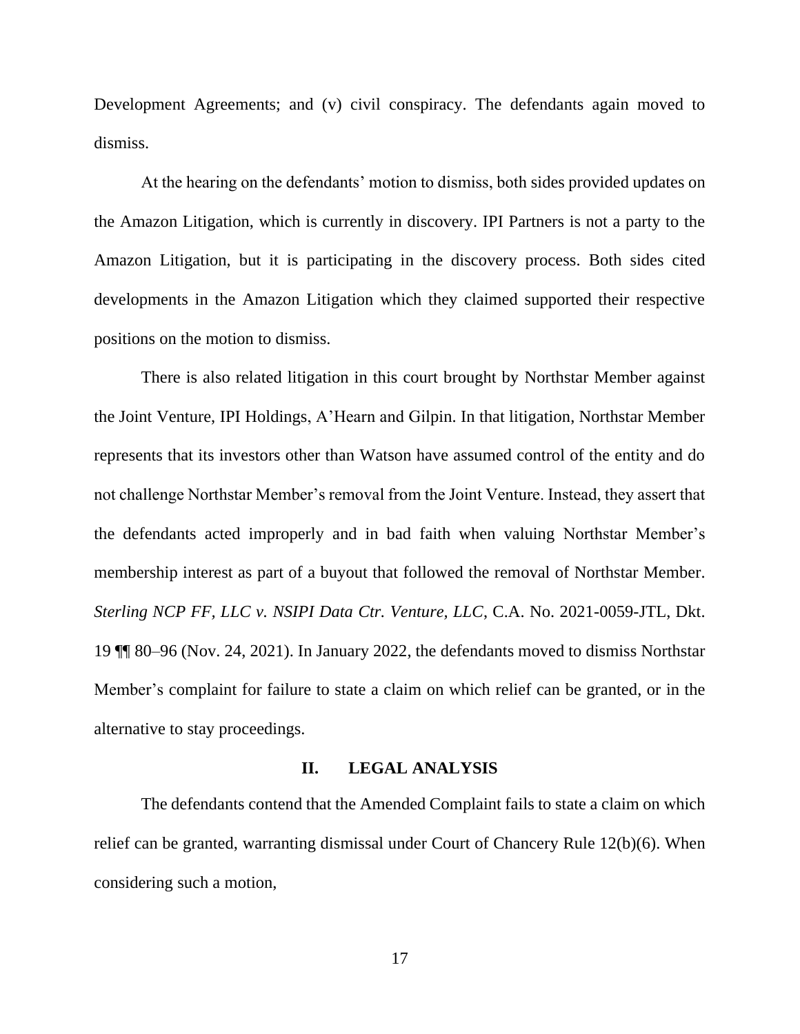Development Agreements; and (v) civil conspiracy. The defendants again moved to dismiss.

At the hearing on the defendants' motion to dismiss, both sides provided updates on the Amazon Litigation, which is currently in discovery. IPI Partners is not a party to the Amazon Litigation, but it is participating in the discovery process. Both sides cited developments in the Amazon Litigation which they claimed supported their respective positions on the motion to dismiss.

There is also related litigation in this court brought by Northstar Member against the Joint Venture, IPI Holdings, A'Hearn and Gilpin. In that litigation, Northstar Member represents that its investors other than Watson have assumed control of the entity and do not challenge Northstar Member's removal from the Joint Venture. Instead, they assert that the defendants acted improperly and in bad faith when valuing Northstar Member's membership interest as part of a buyout that followed the removal of Northstar Member. *Sterling NCP FF, LLC v. NSIPI Data Ctr. Venture, LLC*, C.A. No. 2021-0059-JTL, Dkt. 19 ¶¶ 80–96 (Nov. 24, 2021). In January 2022, the defendants moved to dismiss Northstar Member's complaint for failure to state a claim on which relief can be granted, or in the alternative to stay proceedings.

#### **II. LEGAL ANALYSIS**

The defendants contend that the Amended Complaint fails to state a claim on which relief can be granted, warranting dismissal under Court of Chancery Rule 12(b)(6). When considering such a motion,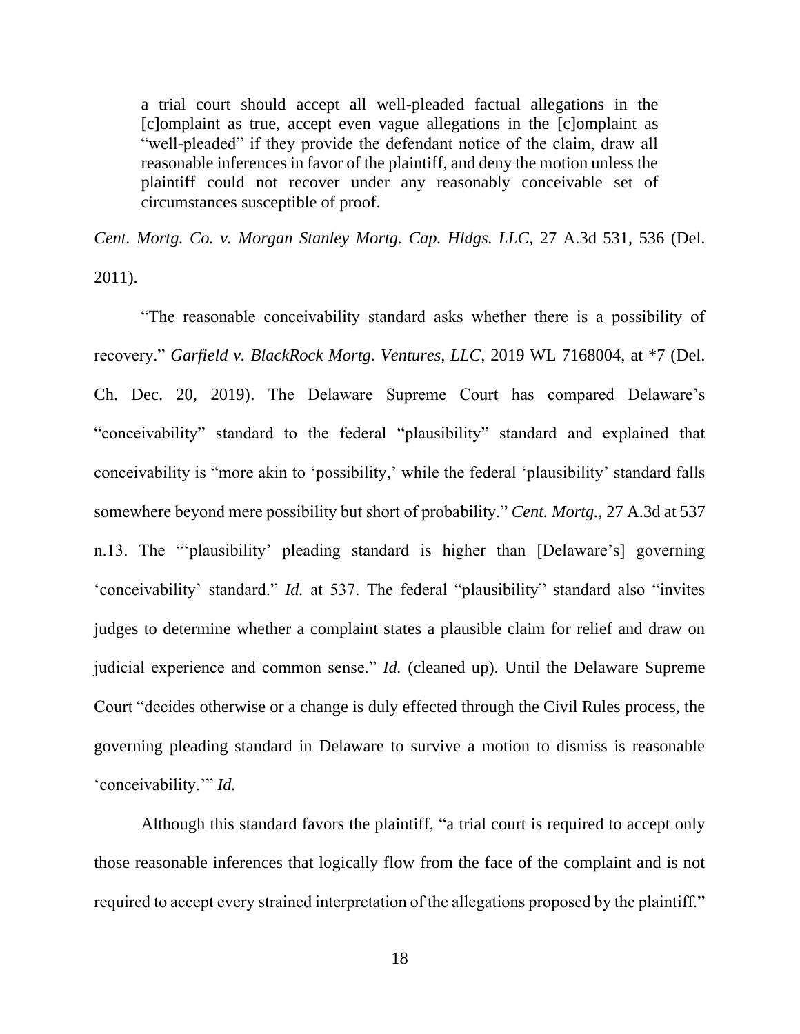a trial court should accept all well-pleaded factual allegations in the [c]omplaint as true, accept even vague allegations in the [c]omplaint as "well-pleaded" if they provide the defendant notice of the claim, draw all reasonable inferences in favor of the plaintiff, and deny the motion unless the plaintiff could not recover under any reasonably conceivable set of circumstances susceptible of proof.

*Cent. Mortg. Co. v. Morgan Stanley Mortg. Cap. Hldgs. LLC*, 27 A.3d 531, 536 (Del.

2011).

"The reasonable conceivability standard asks whether there is a possibility of recovery." *Garfield v. BlackRock Mortg. Ventures, LLC*, 2019 WL 7168004, at \*7 (Del. Ch. Dec. 20, 2019). The Delaware Supreme Court has compared Delaware's "conceivability" standard to the federal "plausibility" standard and explained that conceivability is "more akin to 'possibility,' while the federal 'plausibility' standard falls somewhere beyond mere possibility but short of probability." *Cent. Mortg.*, 27 A.3d at 537 n.13. The "'plausibility' pleading standard is higher than [Delaware's] governing 'conceivability' standard." *Id.* at 537. The federal "plausibility" standard also "invites judges to determine whether a complaint states a plausible claim for relief and draw on judicial experience and common sense." *Id.* (cleaned up). Until the Delaware Supreme Court "decides otherwise or a change is duly effected through the Civil Rules process, the governing pleading standard in Delaware to survive a motion to dismiss is reasonable 'conceivability.'" *Id.*

Although this standard favors the plaintiff, "a trial court is required to accept only those reasonable inferences that logically flow from the face of the complaint and is not required to accept every strained interpretation of the allegations proposed by the plaintiff."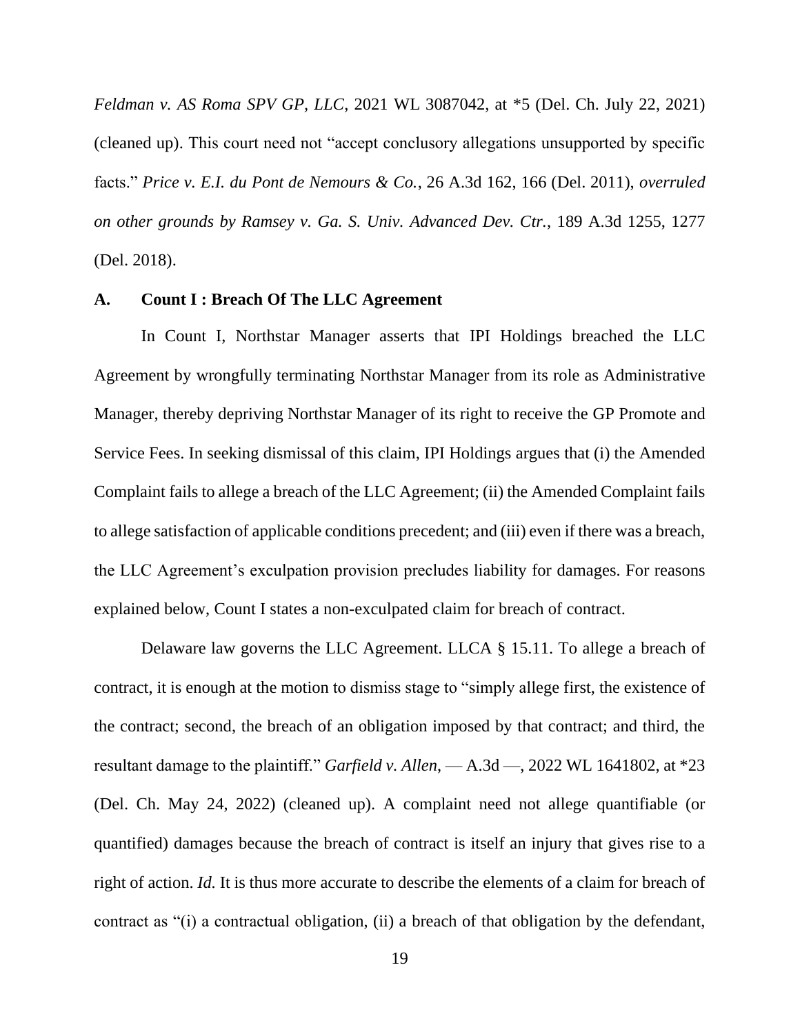*Feldman v. AS Roma SPV GP, LLC*, 2021 WL 3087042, at \*5 (Del. Ch. July 22, 2021) (cleaned up). This court need not "accept conclusory allegations unsupported by specific facts." *Price v. E.I. du Pont de Nemours & Co.*, 26 A.3d 162, 166 (Del. 2011), *overruled on other grounds by Ramsey v. Ga. S. Univ. Advanced Dev. Ctr.*, 189 A.3d 1255, 1277 (Del. 2018).

#### **A. Count I : Breach Of The LLC Agreement**

In Count I, Northstar Manager asserts that IPI Holdings breached the LLC Agreement by wrongfully terminating Northstar Manager from its role as Administrative Manager, thereby depriving Northstar Manager of its right to receive the GP Promote and Service Fees. In seeking dismissal of this claim, IPI Holdings argues that (i) the Amended Complaint fails to allege a breach of the LLC Agreement; (ii) the Amended Complaint fails to allege satisfaction of applicable conditions precedent; and (iii) even if there was a breach, the LLC Agreement's exculpation provision precludes liability for damages. For reasons explained below, Count I states a non-exculpated claim for breach of contract.

Delaware law governs the LLC Agreement. LLCA § 15.11. To allege a breach of contract, it is enough at the motion to dismiss stage to "simply allege first, the existence of the contract; second, the breach of an obligation imposed by that contract; and third, the resultant damage to the plaintiff." *Garfield v. Allen*, — A.3d —, 2022 WL 1641802, at \*23 (Del. Ch. May 24, 2022) (cleaned up). A complaint need not allege quantifiable (or quantified) damages because the breach of contract is itself an injury that gives rise to a right of action. *Id.* It is thus more accurate to describe the elements of a claim for breach of contract as "(i) a contractual obligation, (ii) a breach of that obligation by the defendant,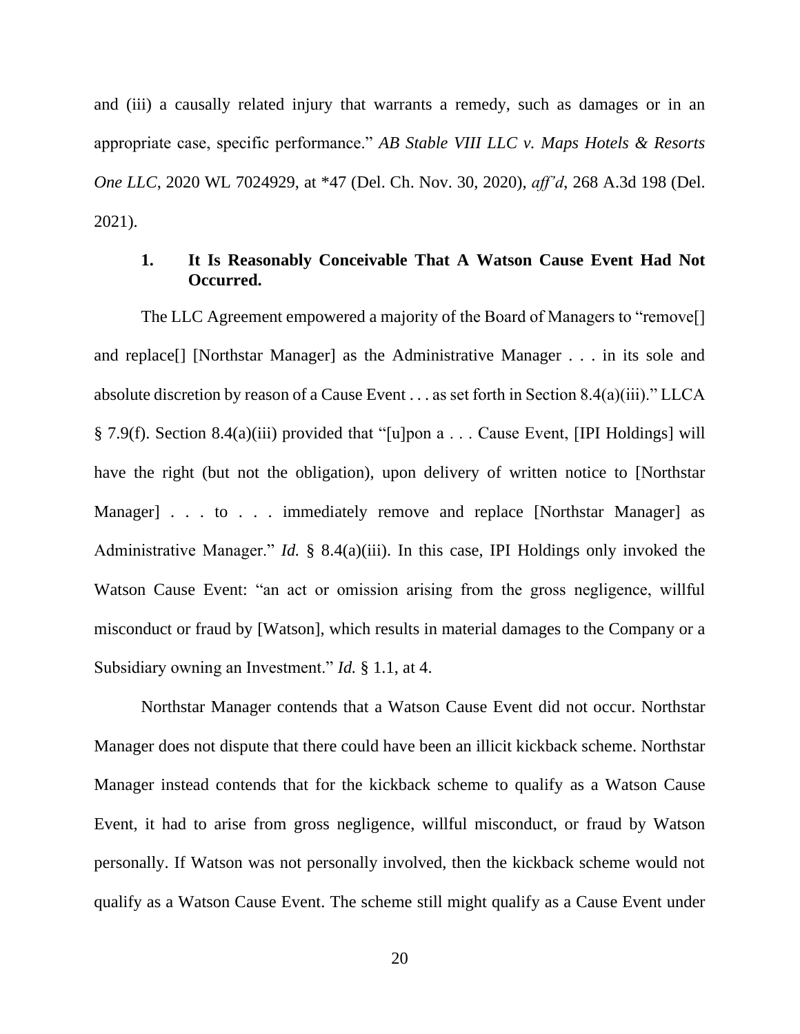and (iii) a causally related injury that warrants a remedy, such as damages or in an appropriate case, specific performance." *AB Stable VIII LLC v. Maps Hotels & Resorts One LLC*, 2020 WL 7024929, at \*47 (Del. Ch. Nov. 30, 2020), *aff'd*, 268 A.3d 198 (Del. 2021).

### **1. It Is Reasonably Conceivable That A Watson Cause Event Had Not Occurred.**

The LLC Agreement empowered a majority of the Board of Managers to "remove[] and replace[] [Northstar Manager] as the Administrative Manager . . . in its sole and absolute discretion by reason of a Cause Event . . . as set forth in Section 8.4(a)(iii)." LLCA § 7.9(f). Section 8.4(a)(iii) provided that "[u]pon a . . . Cause Event, [IPI Holdings] will have the right (but not the obligation), upon delivery of written notice to [Northstar Manager] . . . to . . . immediately remove and replace [Northstar Manager] as Administrative Manager." *Id.* § 8.4(a)(iii). In this case, IPI Holdings only invoked the Watson Cause Event: "an act or omission arising from the gross negligence, willful misconduct or fraud by [Watson], which results in material damages to the Company or a Subsidiary owning an Investment." *Id.* § 1.1, at 4.

Northstar Manager contends that a Watson Cause Event did not occur. Northstar Manager does not dispute that there could have been an illicit kickback scheme. Northstar Manager instead contends that for the kickback scheme to qualify as a Watson Cause Event, it had to arise from gross negligence, willful misconduct, or fraud by Watson personally. If Watson was not personally involved, then the kickback scheme would not qualify as a Watson Cause Event. The scheme still might qualify as a Cause Event under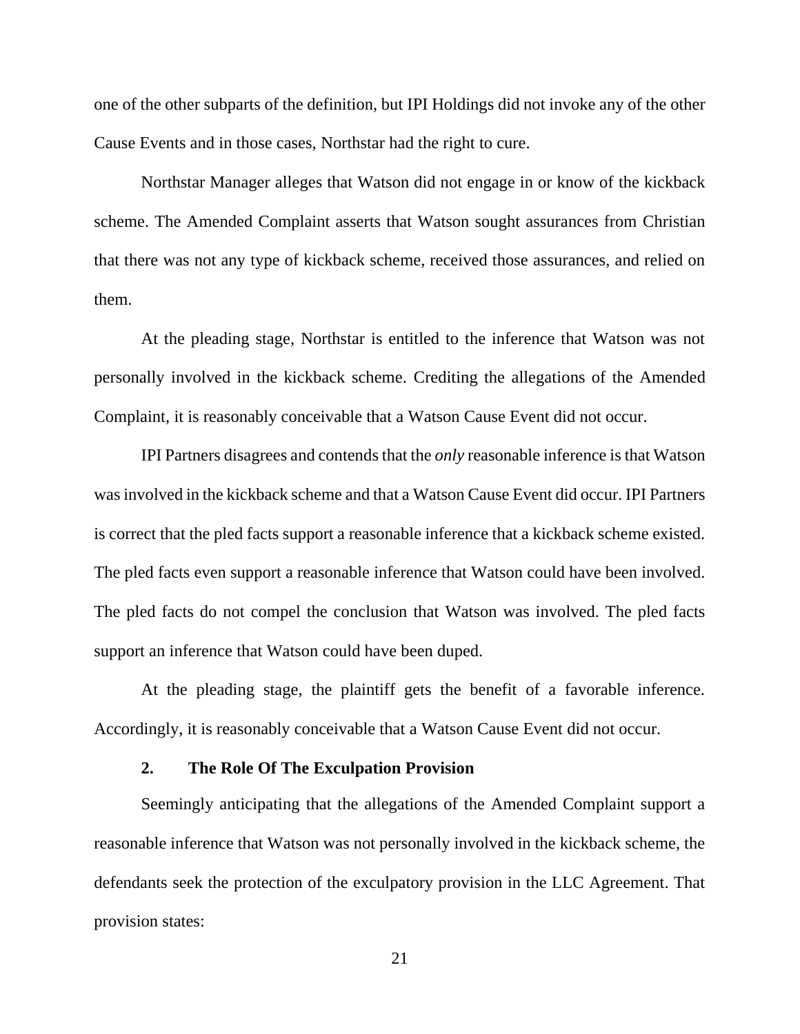one of the other subparts of the definition, but IPI Holdings did not invoke any of the other Cause Events and in those cases, Northstar had the right to cure.

Northstar Manager alleges that Watson did not engage in or know of the kickback scheme. The Amended Complaint asserts that Watson sought assurances from Christian that there was not any type of kickback scheme, received those assurances, and relied on them.

At the pleading stage, Northstar is entitled to the inference that Watson was not personally involved in the kickback scheme. Crediting the allegations of the Amended Complaint, it is reasonably conceivable that a Watson Cause Event did not occur.

IPI Partners disagrees and contends that the *only* reasonable inference is that Watson was involved in the kickback scheme and that a Watson Cause Event did occur. IPI Partners is correct that the pled facts support a reasonable inference that a kickback scheme existed. The pled facts even support a reasonable inference that Watson could have been involved. The pled facts do not compel the conclusion that Watson was involved. The pled facts support an inference that Watson could have been duped.

At the pleading stage, the plaintiff gets the benefit of a favorable inference. Accordingly, it is reasonably conceivable that a Watson Cause Event did not occur.

#### **2. The Role Of The Exculpation Provision**

Seemingly anticipating that the allegations of the Amended Complaint support a reasonable inference that Watson was not personally involved in the kickback scheme, the defendants seek the protection of the exculpatory provision in the LLC Agreement. That provision states:

21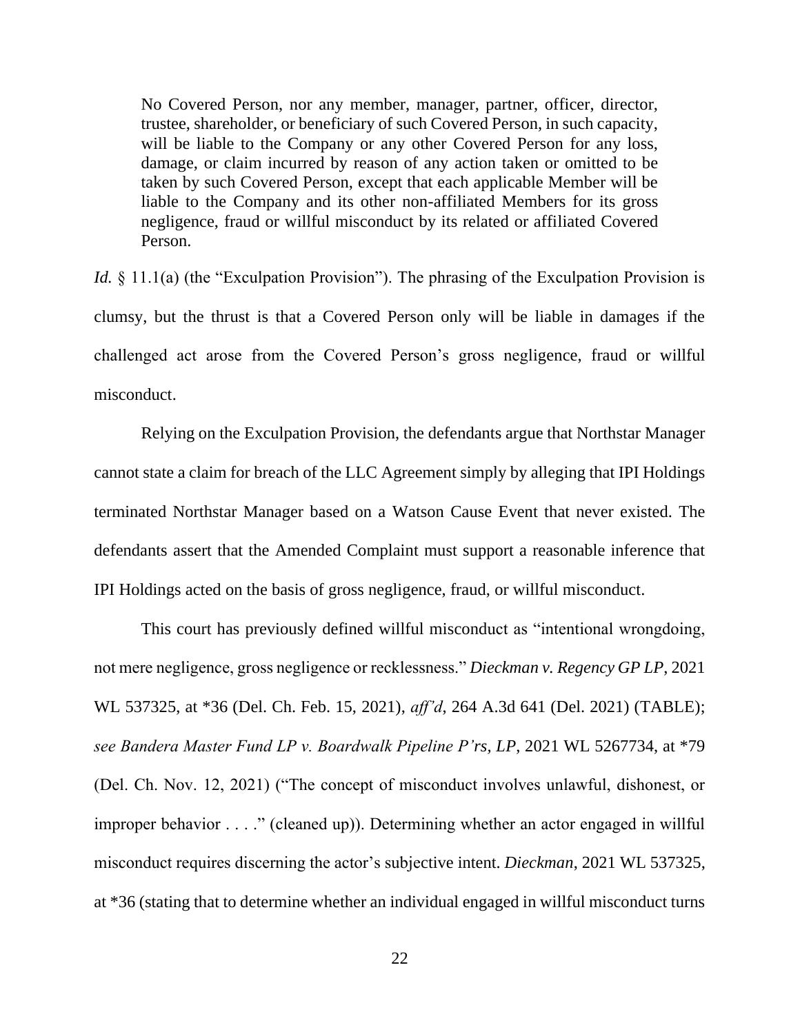No Covered Person, nor any member, manager, partner, officer, director, trustee, shareholder, or beneficiary of such Covered Person, in such capacity, will be liable to the Company or any other Covered Person for any loss, damage, or claim incurred by reason of any action taken or omitted to be taken by such Covered Person, except that each applicable Member will be liable to the Company and its other non-affiliated Members for its gross negligence, fraud or willful misconduct by its related or affiliated Covered Person.

*Id.* § 11.1(a) (the "Exculpation Provision"). The phrasing of the Exculpation Provision is clumsy, but the thrust is that a Covered Person only will be liable in damages if the challenged act arose from the Covered Person's gross negligence, fraud or willful misconduct.

Relying on the Exculpation Provision, the defendants argue that Northstar Manager cannot state a claim for breach of the LLC Agreement simply by alleging that IPI Holdings terminated Northstar Manager based on a Watson Cause Event that never existed. The defendants assert that the Amended Complaint must support a reasonable inference that IPI Holdings acted on the basis of gross negligence, fraud, or willful misconduct.

This court has previously defined willful misconduct as "intentional wrongdoing, not mere negligence, gross negligence or recklessness." *Dieckman v. Regency GP LP*, 2021 WL 537325, at \*36 (Del. Ch. Feb. 15, 2021), *aff'd*, 264 A.3d 641 (Del. 2021) (TABLE); *see Bandera Master Fund LP v. Boardwalk Pipeline P'rs, LP*, 2021 WL 5267734, at \*79 (Del. Ch. Nov. 12, 2021) ("The concept of misconduct involves unlawful, dishonest, or improper behavior . . . ." (cleaned up)). Determining whether an actor engaged in willful misconduct requires discerning the actor's subjective intent. *Dieckman*, 2021 WL 537325, at \*36 (stating that to determine whether an individual engaged in willful misconduct turns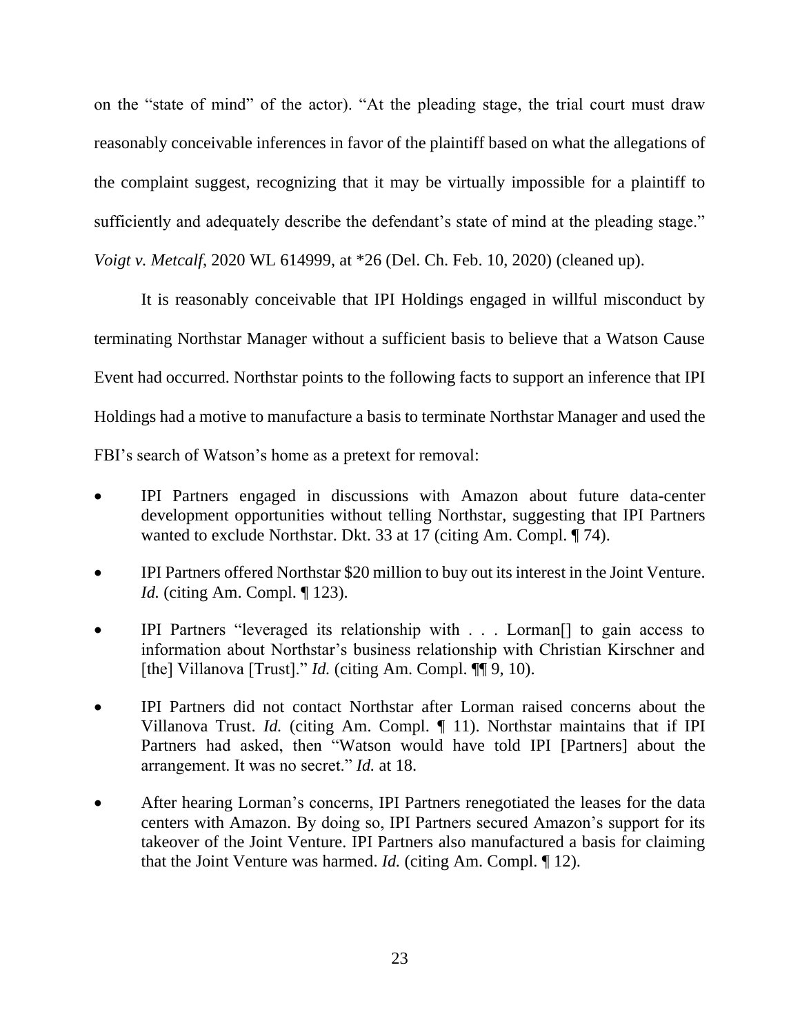on the "state of mind" of the actor). "At the pleading stage, the trial court must draw reasonably conceivable inferences in favor of the plaintiff based on what the allegations of the complaint suggest, recognizing that it may be virtually impossible for a plaintiff to sufficiently and adequately describe the defendant's state of mind at the pleading stage." *Voigt v. Metcalf*, 2020 WL 614999, at \*26 (Del. Ch. Feb. 10, 2020) (cleaned up).

It is reasonably conceivable that IPI Holdings engaged in willful misconduct by terminating Northstar Manager without a sufficient basis to believe that a Watson Cause Event had occurred. Northstar points to the following facts to support an inference that IPI Holdings had a motive to manufacture a basis to terminate Northstar Manager and used the FBI's search of Watson's home as a pretext for removal:

- IPI Partners engaged in discussions with Amazon about future data-center development opportunities without telling Northstar, suggesting that IPI Partners wanted to exclude Northstar. Dkt. 33 at 17 (citing Am. Compl. ¶ 74).
- IPI Partners offered Northstar \$20 million to buy out its interest in the Joint Venture. *Id.* (citing Am. Compl. ¶ 123).
- IPI Partners "leveraged its relationship with . . . Lorman<sup>[]</sup> to gain access to information about Northstar's business relationship with Christian Kirschner and [the] Villanova [Trust]." *Id.* (citing Am. Compl. ¶[9, 10).
- IPI Partners did not contact Northstar after Lorman raised concerns about the Villanova Trust. *Id.* (citing Am. Compl. ¶ 11). Northstar maintains that if IPI Partners had asked, then "Watson would have told IPI [Partners] about the arrangement. It was no secret." *Id.* at 18.
- After hearing Lorman's concerns, IPI Partners renegotiated the leases for the data centers with Amazon. By doing so, IPI Partners secured Amazon's support for its takeover of the Joint Venture. IPI Partners also manufactured a basis for claiming that the Joint Venture was harmed. *Id.* (citing Am. Compl. ¶ 12).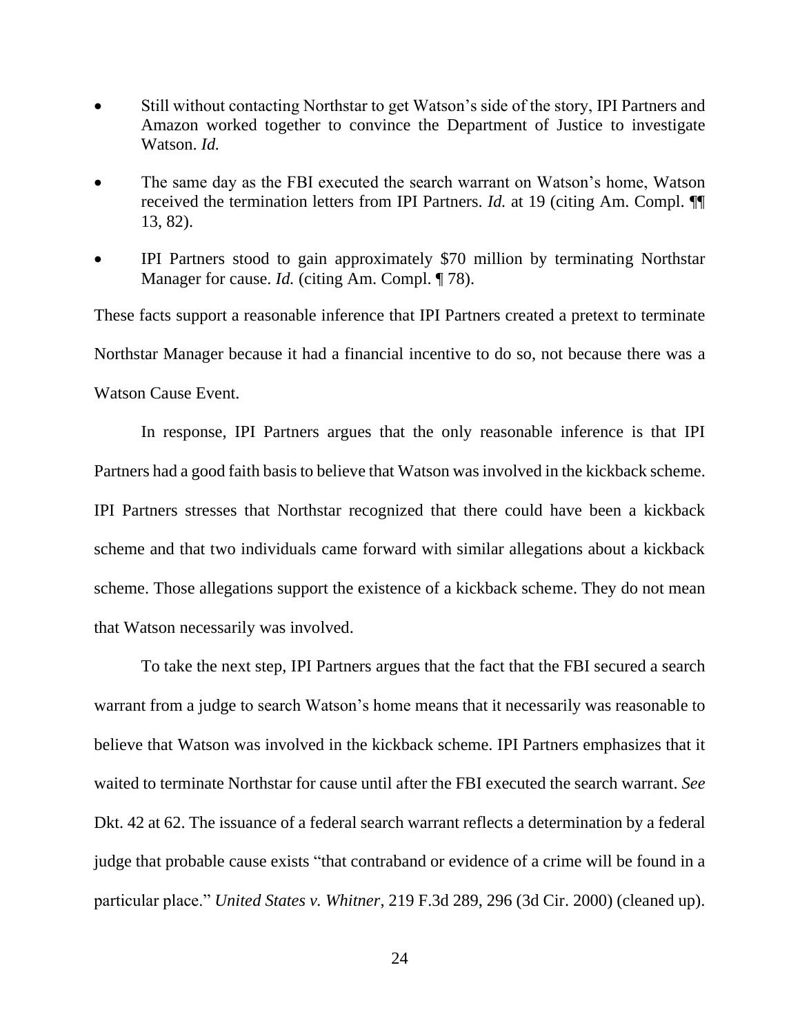- Still without contacting Northstar to get Watson's side of the story, IPI Partners and Amazon worked together to convince the Department of Justice to investigate Watson. *Id.*
- The same day as the FBI executed the search warrant on Watson's home, Watson received the termination letters from IPI Partners. *Id.* at 19 (citing Am. Compl. ¶¶ 13, 82).
- IPI Partners stood to gain approximately \$70 million by terminating Northstar Manager for cause. *Id.* (citing Am. Compl. 178).

These facts support a reasonable inference that IPI Partners created a pretext to terminate Northstar Manager because it had a financial incentive to do so, not because there was a Watson Cause Event.

In response, IPI Partners argues that the only reasonable inference is that IPI Partners had a good faith basis to believe that Watson was involved in the kickback scheme. IPI Partners stresses that Northstar recognized that there could have been a kickback scheme and that two individuals came forward with similar allegations about a kickback scheme. Those allegations support the existence of a kickback scheme. They do not mean that Watson necessarily was involved.

To take the next step, IPI Partners argues that the fact that the FBI secured a search warrant from a judge to search Watson's home means that it necessarily was reasonable to believe that Watson was involved in the kickback scheme. IPI Partners emphasizes that it waited to terminate Northstar for cause until after the FBI executed the search warrant. *See*  Dkt. 42 at 62. The issuance of a federal search warrant reflects a determination by a federal judge that probable cause exists "that contraband or evidence of a crime will be found in a particular place." *United States v. Whitner*, 219 F.3d 289, 296 (3d Cir. 2000) (cleaned up).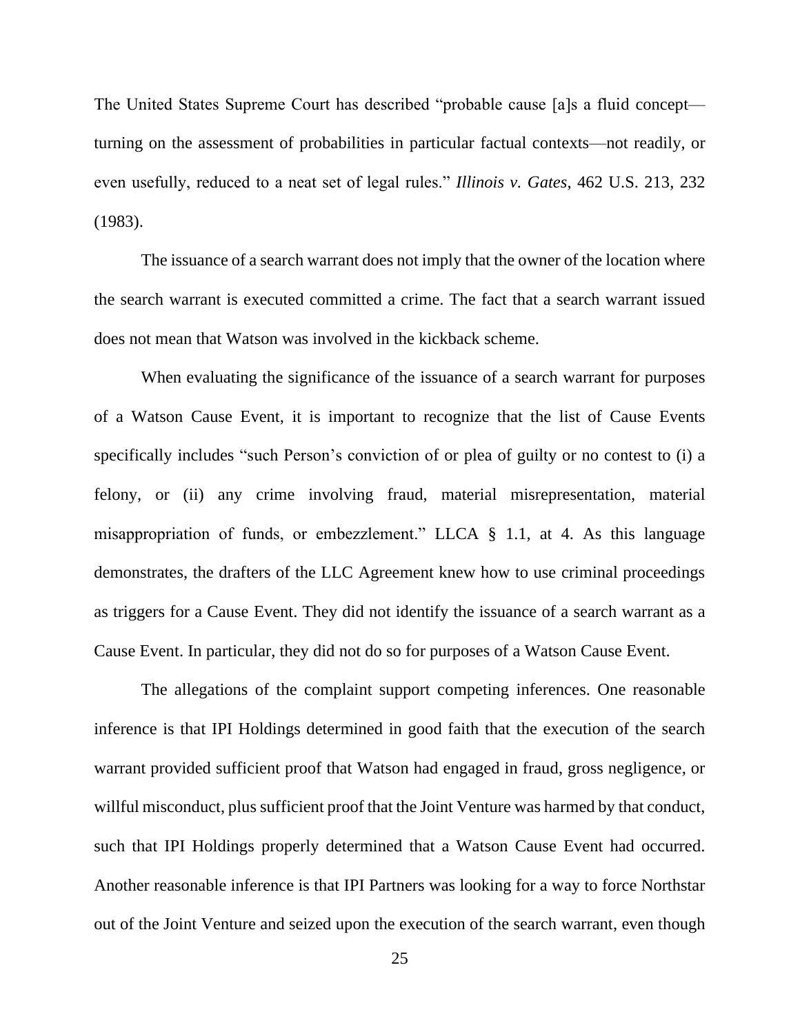The United States Supreme Court has described "probable cause [a]s a fluid concept turning on the assessment of probabilities in particular factual contexts—not readily, or even usefully, reduced to a neat set of legal rules." *Illinois v. Gates*, 462 U.S. 213, 232 (1983).

The issuance of a search warrant does not imply that the owner of the location where the search warrant is executed committed a crime. The fact that a search warrant issued does not mean that Watson was involved in the kickback scheme.

When evaluating the significance of the issuance of a search warrant for purposes of a Watson Cause Event, it is important to recognize that the list of Cause Events specifically includes "such Person's conviction of or plea of guilty or no contest to (i) a felony, or (ii) any crime involving fraud, material misrepresentation, material misappropriation of funds, or embezzlement." LLCA § 1.1, at 4. As this language demonstrates, the drafters of the LLC Agreement knew how to use criminal proceedings as triggers for a Cause Event. They did not identify the issuance of a search warrant as a Cause Event. In particular, they did not do so for purposes of a Watson Cause Event.

The allegations of the complaint support competing inferences. One reasonable inference is that IPI Holdings determined in good faith that the execution of the search warrant provided sufficient proof that Watson had engaged in fraud, gross negligence, or willful misconduct, plus sufficient proof that the Joint Venture was harmed by that conduct, such that IPI Holdings properly determined that a Watson Cause Event had occurred. Another reasonable inference is that IPI Partners was looking for a way to force Northstar out of the Joint Venture and seized upon the execution of the search warrant, even though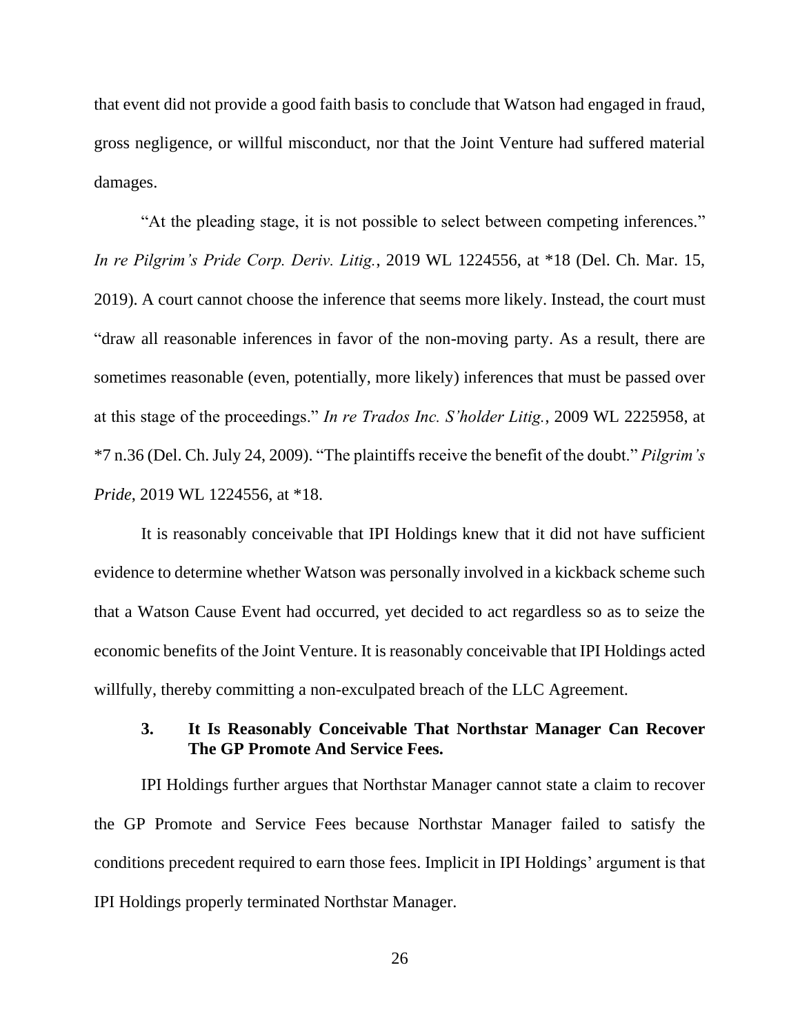that event did not provide a good faith basis to conclude that Watson had engaged in fraud, gross negligence, or willful misconduct, nor that the Joint Venture had suffered material damages.

"At the pleading stage, it is not possible to select between competing inferences." *In re Pilgrim's Pride Corp. Deriv. Litig.*, 2019 WL 1224556, at \*18 (Del. Ch. Mar. 15, 2019). A court cannot choose the inference that seems more likely. Instead, the court must "draw all reasonable inferences in favor of the non-moving party. As a result, there are sometimes reasonable (even, potentially, more likely) inferences that must be passed over at this stage of the proceedings." *In re Trados Inc. S'holder Litig.*, 2009 WL 2225958, at \*7 n.36 (Del. Ch. July 24, 2009). "The plaintiffs receive the benefit of the doubt." *Pilgrim's Pride*, 2019 WL 1224556, at \*18.

It is reasonably conceivable that IPI Holdings knew that it did not have sufficient evidence to determine whether Watson was personally involved in a kickback scheme such that a Watson Cause Event had occurred, yet decided to act regardless so as to seize the economic benefits of the Joint Venture. It is reasonably conceivable that IPI Holdings acted willfully, thereby committing a non-exculpated breach of the LLC Agreement.

### **3. It Is Reasonably Conceivable That Northstar Manager Can Recover The GP Promote And Service Fees.**

IPI Holdings further argues that Northstar Manager cannot state a claim to recover the GP Promote and Service Fees because Northstar Manager failed to satisfy the conditions precedent required to earn those fees. Implicit in IPI Holdings' argument is that IPI Holdings properly terminated Northstar Manager.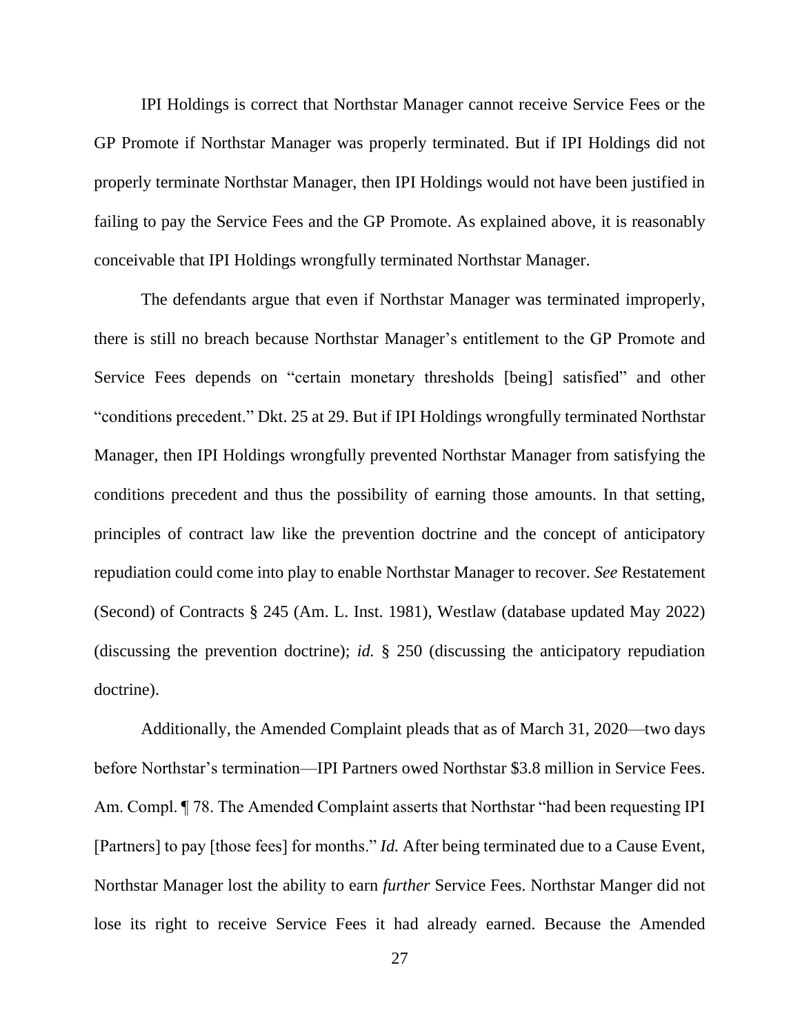IPI Holdings is correct that Northstar Manager cannot receive Service Fees or the GP Promote if Northstar Manager was properly terminated. But if IPI Holdings did not properly terminate Northstar Manager, then IPI Holdings would not have been justified in failing to pay the Service Fees and the GP Promote. As explained above, it is reasonably conceivable that IPI Holdings wrongfully terminated Northstar Manager.

The defendants argue that even if Northstar Manager was terminated improperly, there is still no breach because Northstar Manager's entitlement to the GP Promote and Service Fees depends on "certain monetary thresholds [being] satisfied" and other "conditions precedent." Dkt. 25 at 29. But if IPI Holdings wrongfully terminated Northstar Manager, then IPI Holdings wrongfully prevented Northstar Manager from satisfying the conditions precedent and thus the possibility of earning those amounts. In that setting, principles of contract law like the prevention doctrine and the concept of anticipatory repudiation could come into play to enable Northstar Manager to recover. *See* Restatement (Second) of Contracts § 245 (Am. L. Inst. 1981), Westlaw (database updated May 2022) (discussing the prevention doctrine); *id.* § 250 (discussing the anticipatory repudiation doctrine).

Additionally, the Amended Complaint pleads that as of March 31, 2020—two days before Northstar's termination—IPI Partners owed Northstar \$3.8 million in Service Fees. Am. Compl. *¶* 78. The Amended Complaint asserts that Northstar "had been requesting IPI [Partners] to pay [those fees] for months." *Id.* After being terminated due to a Cause Event, Northstar Manager lost the ability to earn *further* Service Fees. Northstar Manger did not lose its right to receive Service Fees it had already earned. Because the Amended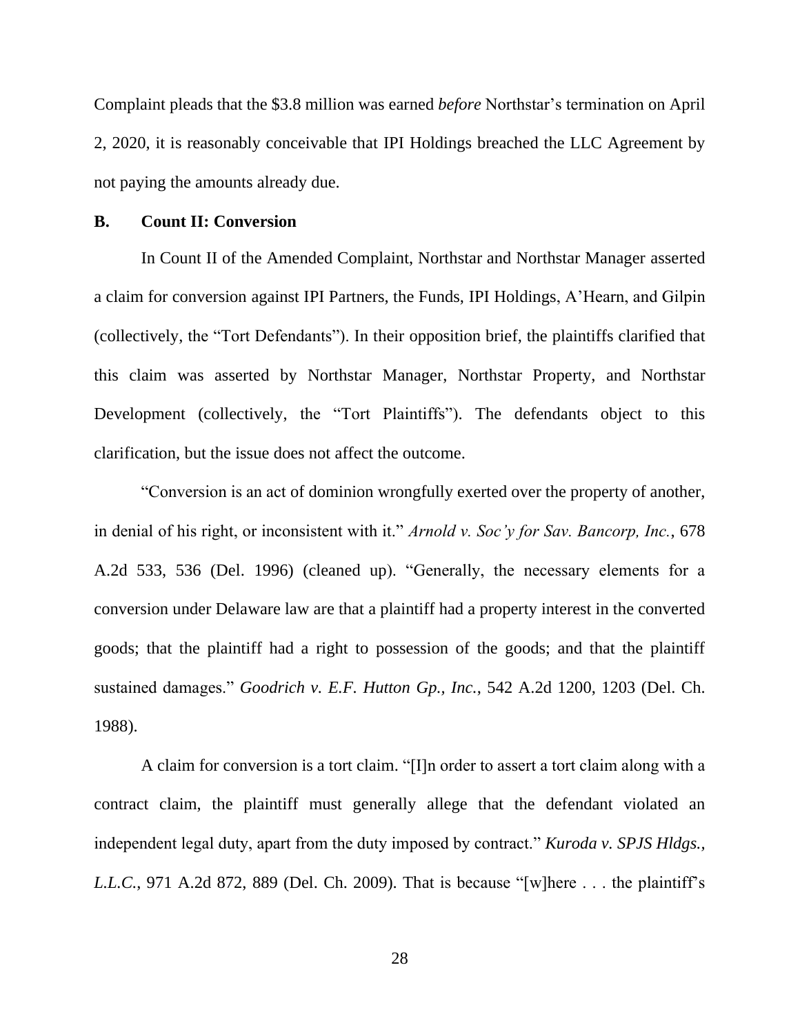Complaint pleads that the \$3.8 million was earned *before* Northstar's termination on April 2, 2020, it is reasonably conceivable that IPI Holdings breached the LLC Agreement by not paying the amounts already due.

#### **B. Count II: Conversion**

In Count II of the Amended Complaint, Northstar and Northstar Manager asserted a claim for conversion against IPI Partners, the Funds, IPI Holdings, A'Hearn, and Gilpin (collectively, the "Tort Defendants"). In their opposition brief, the plaintiffs clarified that this claim was asserted by Northstar Manager, Northstar Property, and Northstar Development (collectively, the "Tort Plaintiffs"). The defendants object to this clarification, but the issue does not affect the outcome.

"Conversion is an act of dominion wrongfully exerted over the property of another, in denial of his right, or inconsistent with it." *Arnold v. Soc'y for Sav. Bancorp, Inc.*, 678 A.2d 533, 536 (Del. 1996) (cleaned up). "Generally, the necessary elements for a conversion under Delaware law are that a plaintiff had a property interest in the converted goods; that the plaintiff had a right to possession of the goods; and that the plaintiff sustained damages." *Goodrich v. E.F. Hutton Gp., Inc.*, 542 A.2d 1200, 1203 (Del. Ch. 1988).

A claim for conversion is a tort claim. "[I]n order to assert a tort claim along with a contract claim, the plaintiff must generally allege that the defendant violated an independent legal duty, apart from the duty imposed by contract." *Kuroda v. SPJS Hldgs., L.L.C.*, 971 A.2d 872, 889 (Del. Ch. 2009). That is because "[w]here . . . the plaintiff's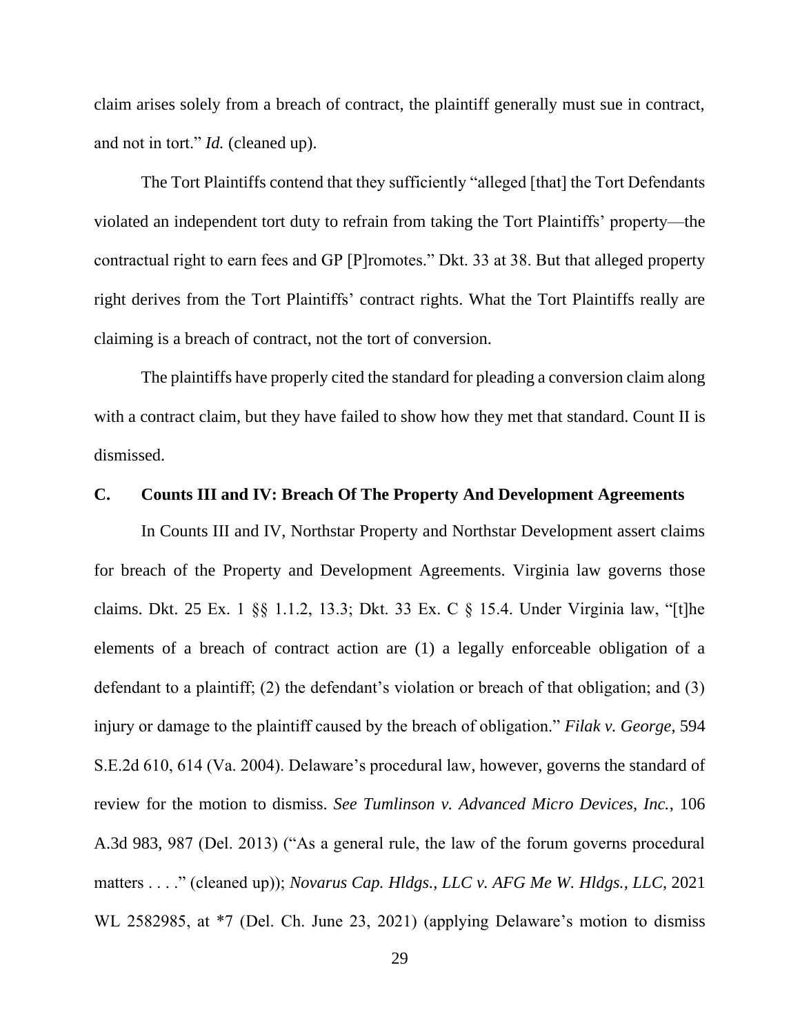claim arises solely from a breach of contract, the plaintiff generally must sue in contract, and not in tort." *Id.* (cleaned up).

The Tort Plaintiffs contend that they sufficiently "alleged [that] the Tort Defendants violated an independent tort duty to refrain from taking the Tort Plaintiffs' property—the contractual right to earn fees and GP [P]romotes." Dkt. 33 at 38. But that alleged property right derives from the Tort Plaintiffs' contract rights. What the Tort Plaintiffs really are claiming is a breach of contract, not the tort of conversion.

The plaintiffs have properly cited the standard for pleading a conversion claim along with a contract claim, but they have failed to show how they met that standard. Count II is dismissed.

#### **C. Counts III and IV: Breach Of The Property And Development Agreements**

In Counts III and IV, Northstar Property and Northstar Development assert claims for breach of the Property and Development Agreements. Virginia law governs those claims. Dkt. 25 Ex. 1 §§ 1.1.2, 13.3; Dkt. 33 Ex. C § 15.4. Under Virginia law, "[t]he elements of a breach of contract action are (1) a legally enforceable obligation of a defendant to a plaintiff; (2) the defendant's violation or breach of that obligation; and (3) injury or damage to the plaintiff caused by the breach of obligation." *Filak v. George*, 594 S.E.2d 610, 614 (Va. 2004). Delaware's procedural law, however, governs the standard of review for the motion to dismiss. *See Tumlinson v. Advanced Micro Devices, Inc.*, 106 A.3d 983, 987 (Del. 2013) ("As a general rule, the law of the forum governs procedural matters . . . ." (cleaned up)); *Novarus Cap. Hldgs., LLC v. AFG Me W. Hldgs., LLC*, 2021 WL 2582985, at \*7 (Del. Ch. June 23, 2021) (applying Delaware's motion to dismiss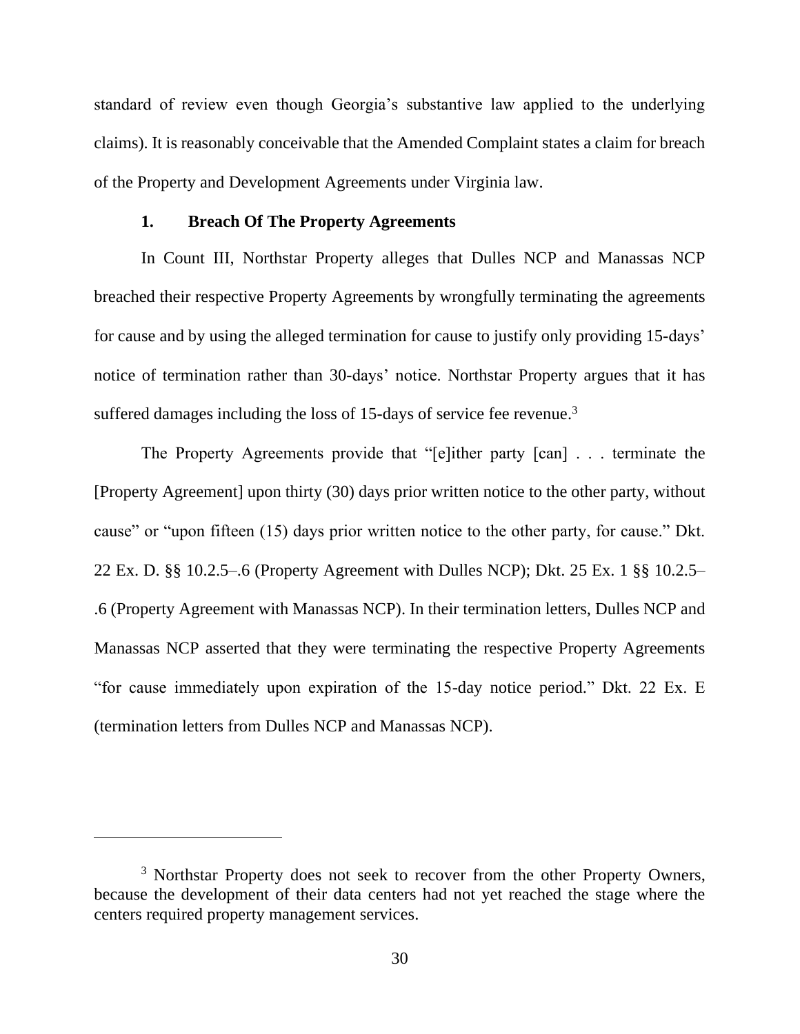standard of review even though Georgia's substantive law applied to the underlying claims). It is reasonably conceivable that the Amended Complaint states a claim for breach of the Property and Development Agreements under Virginia law.

### **1. Breach Of The Property Agreements**

In Count III, Northstar Property alleges that Dulles NCP and Manassas NCP breached their respective Property Agreements by wrongfully terminating the agreements for cause and by using the alleged termination for cause to justify only providing 15-days' notice of termination rather than 30-days' notice. Northstar Property argues that it has suffered damages including the loss of 15-days of service fee revenue.<sup>3</sup>

The Property Agreements provide that "[e]ither party [can] . . . terminate the [Property Agreement] upon thirty (30) days prior written notice to the other party, without cause" or "upon fifteen (15) days prior written notice to the other party, for cause." Dkt. 22 Ex. D. §§ 10.2.5–.6 (Property Agreement with Dulles NCP); Dkt. 25 Ex. 1 §§ 10.2.5– .6 (Property Agreement with Manassas NCP). In their termination letters, Dulles NCP and Manassas NCP asserted that they were terminating the respective Property Agreements "for cause immediately upon expiration of the 15-day notice period." Dkt. 22 Ex. E (termination letters from Dulles NCP and Manassas NCP).

<sup>&</sup>lt;sup>3</sup> Northstar Property does not seek to recover from the other Property Owners, because the development of their data centers had not yet reached the stage where the centers required property management services.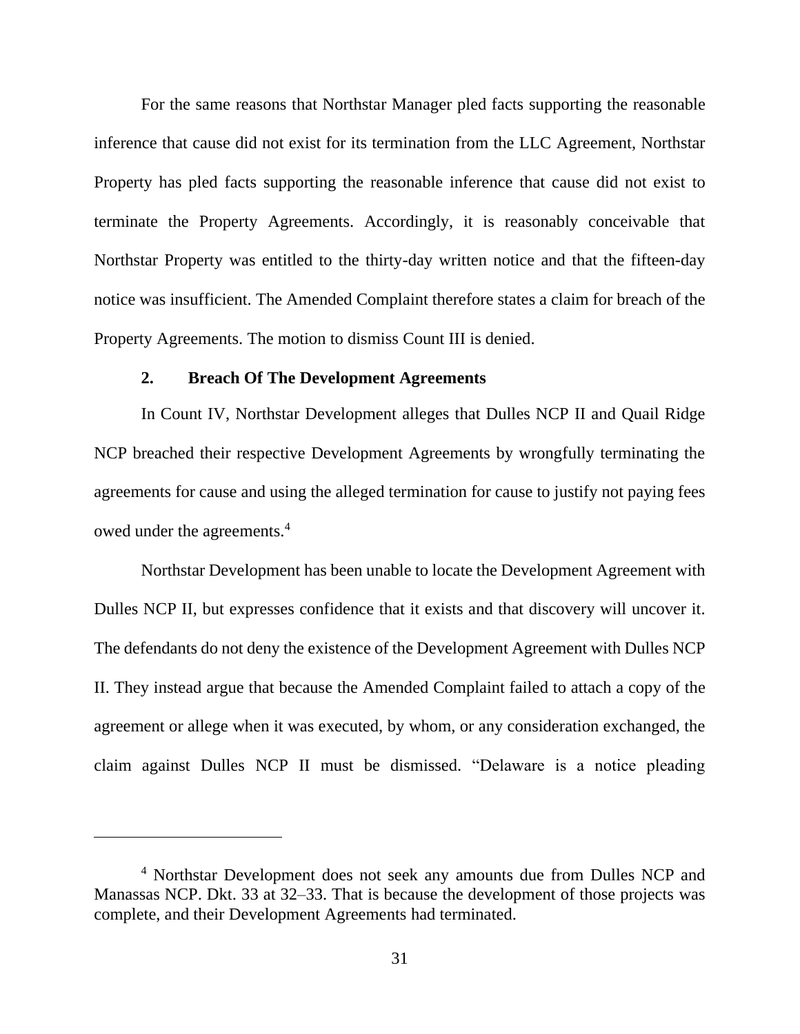For the same reasons that Northstar Manager pled facts supporting the reasonable inference that cause did not exist for its termination from the LLC Agreement, Northstar Property has pled facts supporting the reasonable inference that cause did not exist to terminate the Property Agreements. Accordingly, it is reasonably conceivable that Northstar Property was entitled to the thirty-day written notice and that the fifteen-day notice was insufficient. The Amended Complaint therefore states a claim for breach of the Property Agreements. The motion to dismiss Count III is denied.

#### **2. Breach Of The Development Agreements**

In Count IV, Northstar Development alleges that Dulles NCP II and Quail Ridge NCP breached their respective Development Agreements by wrongfully terminating the agreements for cause and using the alleged termination for cause to justify not paying fees owed under the agreements. 4

Northstar Development has been unable to locate the Development Agreement with Dulles NCP II, but expresses confidence that it exists and that discovery will uncover it. The defendants do not deny the existence of the Development Agreement with Dulles NCP II. They instead argue that because the Amended Complaint failed to attach a copy of the agreement or allege when it was executed, by whom, or any consideration exchanged, the claim against Dulles NCP II must be dismissed. "Delaware is a notice pleading

<sup>4</sup> Northstar Development does not seek any amounts due from Dulles NCP and Manassas NCP. Dkt. 33 at 32–33. That is because the development of those projects was complete, and their Development Agreements had terminated.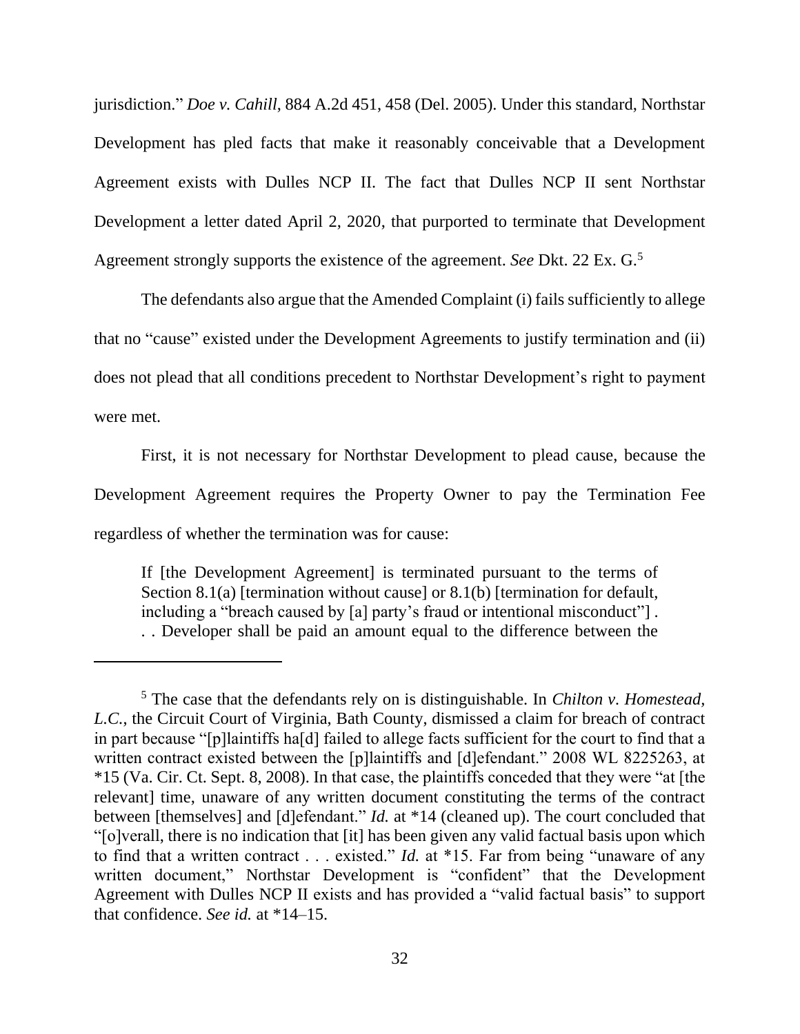jurisdiction." *Doe v. Cahill*, 884 A.2d 451, 458 (Del. 2005). Under this standard, Northstar Development has pled facts that make it reasonably conceivable that a Development Agreement exists with Dulles NCP II. The fact that Dulles NCP II sent Northstar Development a letter dated April 2, 2020, that purported to terminate that Development Agreement strongly supports the existence of the agreement. *See* Dkt. 22 Ex. G.<sup>5</sup>

The defendants also argue that the Amended Complaint (i) fails sufficiently to allege that no "cause" existed under the Development Agreements to justify termination and (ii) does not plead that all conditions precedent to Northstar Development's right to payment were met.

First, it is not necessary for Northstar Development to plead cause, because the Development Agreement requires the Property Owner to pay the Termination Fee regardless of whether the termination was for cause:

If [the Development Agreement] is terminated pursuant to the terms of Section 8.1(a) [termination without cause] or 8.1(b) [termination for default, including a "breach caused by [a] party's fraud or intentional misconduct"] . . . Developer shall be paid an amount equal to the difference between the

<sup>5</sup> The case that the defendants rely on is distinguishable. In *Chilton v. Homestead, L.C.*, the Circuit Court of Virginia, Bath County, dismissed a claim for breach of contract in part because "[p]laintiffs ha[d] failed to allege facts sufficient for the court to find that a written contract existed between the [p]laintiffs and [d]efendant." 2008 WL 8225263, at \*15 (Va. Cir. Ct. Sept. 8, 2008). In that case, the plaintiffs conceded that they were "at [the relevant] time, unaware of any written document constituting the terms of the contract between [themselves] and [d]efendant." *Id.* at \*14 (cleaned up). The court concluded that "[o]verall, there is no indication that [it] has been given any valid factual basis upon which to find that a written contract . . . existed." *Id.* at \*15. Far from being "unaware of any written document," Northstar Development is "confident" that the Development Agreement with Dulles NCP II exists and has provided a "valid factual basis" to support that confidence. *See id.* at \*14–15.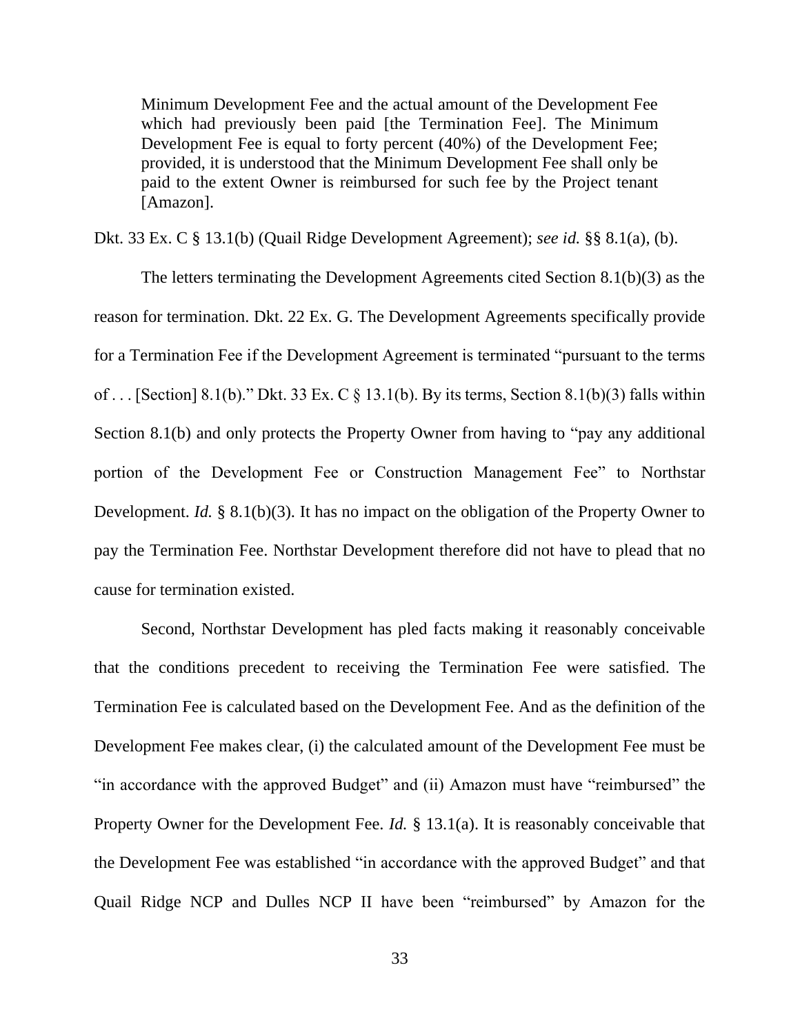Minimum Development Fee and the actual amount of the Development Fee which had previously been paid [the Termination Fee]. The Minimum Development Fee is equal to forty percent (40%) of the Development Fee; provided, it is understood that the Minimum Development Fee shall only be paid to the extent Owner is reimbursed for such fee by the Project tenant [Amazon].

Dkt. 33 Ex. C § 13.1(b) (Quail Ridge Development Agreement); *see id.* §§ 8.1(a), (b).

The letters terminating the Development Agreements cited Section 8.1(b)(3) as the reason for termination. Dkt. 22 Ex. G. The Development Agreements specifically provide for a Termination Fee if the Development Agreement is terminated "pursuant to the terms of ... [Section] 8.1(b)." Dkt. 33 Ex. C  $\S$  13.1(b). By its terms, Section 8.1(b)(3) falls within Section 8.1(b) and only protects the Property Owner from having to "pay any additional portion of the Development Fee or Construction Management Fee" to Northstar Development. *Id.* § 8.1(b)(3). It has no impact on the obligation of the Property Owner to pay the Termination Fee. Northstar Development therefore did not have to plead that no cause for termination existed.

Second, Northstar Development has pled facts making it reasonably conceivable that the conditions precedent to receiving the Termination Fee were satisfied. The Termination Fee is calculated based on the Development Fee. And as the definition of the Development Fee makes clear, (i) the calculated amount of the Development Fee must be "in accordance with the approved Budget" and (ii) Amazon must have "reimbursed" the Property Owner for the Development Fee. *Id.* § 13.1(a). It is reasonably conceivable that the Development Fee was established "in accordance with the approved Budget" and that Quail Ridge NCP and Dulles NCP II have been "reimbursed" by Amazon for the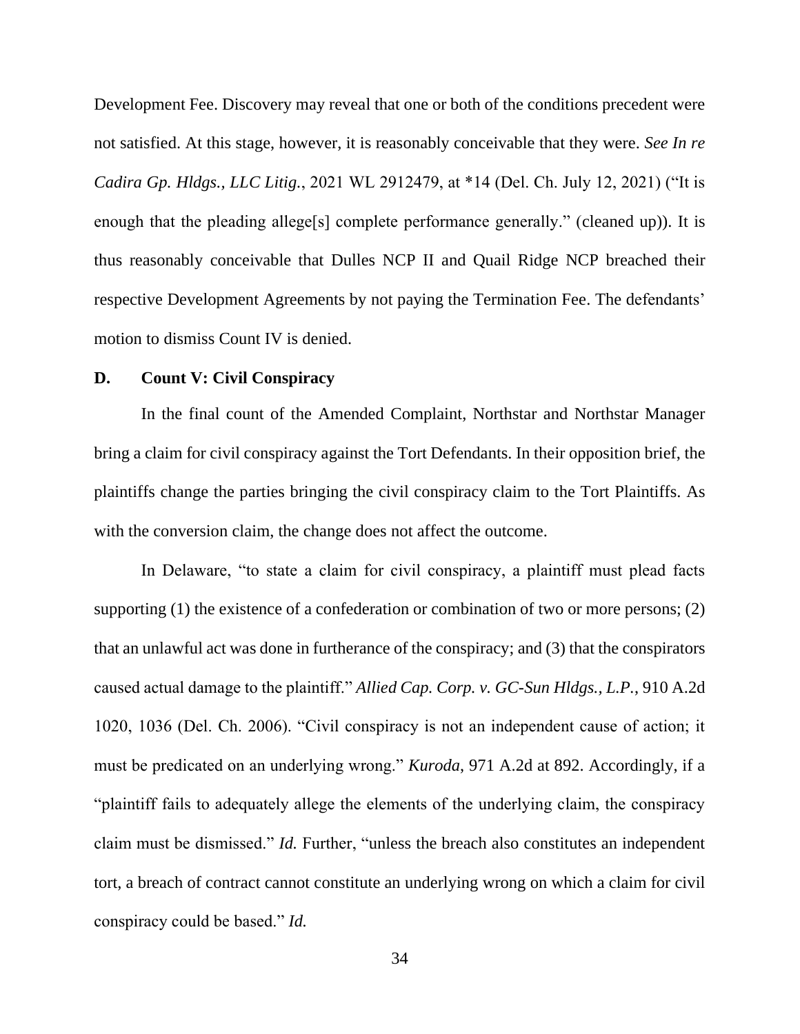Development Fee. Discovery may reveal that one or both of the conditions precedent were not satisfied. At this stage, however, it is reasonably conceivable that they were. *See In re Cadira Gp. Hldgs., LLC Litig.*, 2021 WL 2912479, at \*14 (Del. Ch. July 12, 2021) ("It is enough that the pleading allege<sup>[s]</sup> complete performance generally." (cleaned up)). It is thus reasonably conceivable that Dulles NCP II and Quail Ridge NCP breached their respective Development Agreements by not paying the Termination Fee. The defendants' motion to dismiss Count IV is denied.

#### **D. Count V: Civil Conspiracy**

In the final count of the Amended Complaint, Northstar and Northstar Manager bring a claim for civil conspiracy against the Tort Defendants. In their opposition brief, the plaintiffs change the parties bringing the civil conspiracy claim to the Tort Plaintiffs. As with the conversion claim, the change does not affect the outcome.

In Delaware, "to state a claim for civil conspiracy, a plaintiff must plead facts supporting (1) the existence of a confederation or combination of two or more persons; (2) that an unlawful act was done in furtherance of the conspiracy; and (3) that the conspirators caused actual damage to the plaintiff." *Allied Cap. Corp. v. GC-Sun Hldgs., L.P.*, 910 A.2d 1020, 1036 (Del. Ch. 2006). "Civil conspiracy is not an independent cause of action; it must be predicated on an underlying wrong." *Kuroda*, 971 A.2d at 892. Accordingly, if a "plaintiff fails to adequately allege the elements of the underlying claim, the conspiracy claim must be dismissed." *Id.* Further, "unless the breach also constitutes an independent tort, a breach of contract cannot constitute an underlying wrong on which a claim for civil conspiracy could be based." *Id.*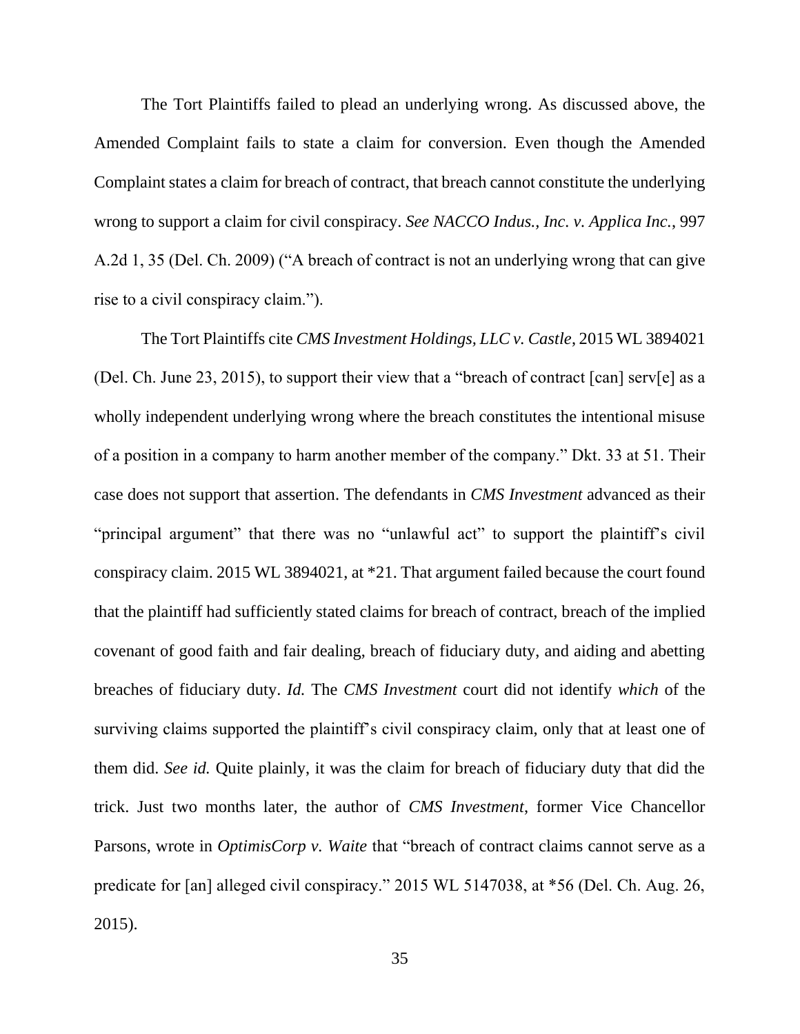The Tort Plaintiffs failed to plead an underlying wrong. As discussed above, the Amended Complaint fails to state a claim for conversion. Even though the Amended Complaint states a claim for breach of contract, that breach cannot constitute the underlying wrong to support a claim for civil conspiracy. *See NACCO Indus., Inc. v. Applica Inc.*, 997 A.2d 1, 35 (Del. Ch. 2009) ("A breach of contract is not an underlying wrong that can give rise to a civil conspiracy claim.").

The Tort Plaintiffs cite *CMS Investment Holdings, LLC v. Castle*, 2015 WL 3894021 (Del. Ch. June 23, 2015), to support their view that a "breach of contract [can] serv[e] as a wholly independent underlying wrong where the breach constitutes the intentional misuse of a position in a company to harm another member of the company." Dkt. 33 at 51. Their case does not support that assertion. The defendants in *CMS Investment* advanced as their "principal argument" that there was no "unlawful act" to support the plaintiff's civil conspiracy claim. 2015 WL 3894021, at \*21. That argument failed because the court found that the plaintiff had sufficiently stated claims for breach of contract, breach of the implied covenant of good faith and fair dealing, breach of fiduciary duty, and aiding and abetting breaches of fiduciary duty. *Id.* The *CMS Investment* court did not identify *which* of the surviving claims supported the plaintiff's civil conspiracy claim, only that at least one of them did. *See id.* Quite plainly, it was the claim for breach of fiduciary duty that did the trick. Just two months later, the author of *CMS Investment*, former Vice Chancellor Parsons, wrote in *OptimisCorp v. Waite* that "breach of contract claims cannot serve as a predicate for [an] alleged civil conspiracy." 2015 WL 5147038, at \*56 (Del. Ch. Aug. 26, 2015).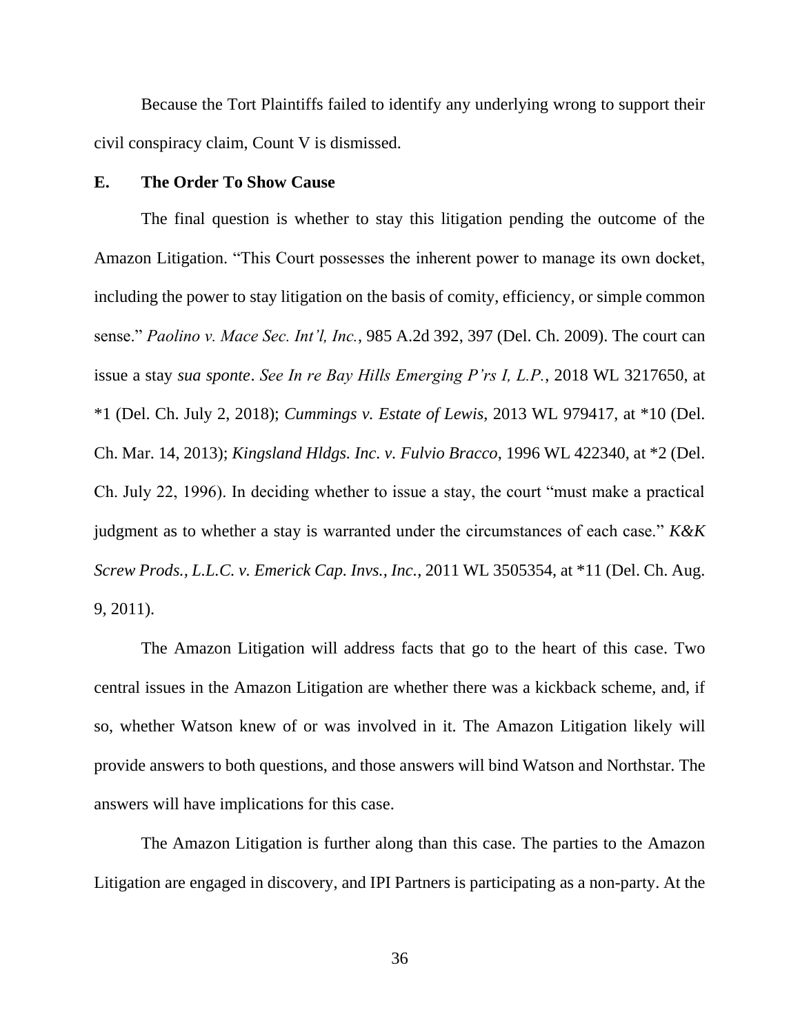Because the Tort Plaintiffs failed to identify any underlying wrong to support their civil conspiracy claim, Count V is dismissed.

### **E. The Order To Show Cause**

The final question is whether to stay this litigation pending the outcome of the Amazon Litigation. "This Court possesses the inherent power to manage its own docket, including the power to stay litigation on the basis of comity, efficiency, or simple common sense." *Paolino v. Mace Sec. Int'l, Inc.*, 985 A.2d 392, 397 (Del. Ch. 2009). The court can issue a stay *sua sponte*. *See In re Bay Hills Emerging P'rs I, L.P.*, 2018 WL 3217650, at \*1 (Del. Ch. July 2, 2018); *Cummings v. Estate of Lewis*, 2013 WL 979417, at \*10 (Del. Ch. Mar. 14, 2013); *Kingsland Hldgs. Inc. v. Fulvio Bracco*, 1996 WL 422340, at \*2 (Del. Ch. July 22, 1996). In deciding whether to issue a stay, the court "must make a practical judgment as to whether a stay is warranted under the circumstances of each case." *K&K Screw Prods., L.L.C. v. Emerick Cap. Invs., Inc.*, 2011 WL 3505354, at \*11 (Del. Ch. Aug. 9, 2011).

The Amazon Litigation will address facts that go to the heart of this case. Two central issues in the Amazon Litigation are whether there was a kickback scheme, and, if so, whether Watson knew of or was involved in it. The Amazon Litigation likely will provide answers to both questions, and those answers will bind Watson and Northstar. The answers will have implications for this case.

The Amazon Litigation is further along than this case. The parties to the Amazon Litigation are engaged in discovery, and IPI Partners is participating as a non-party. At the